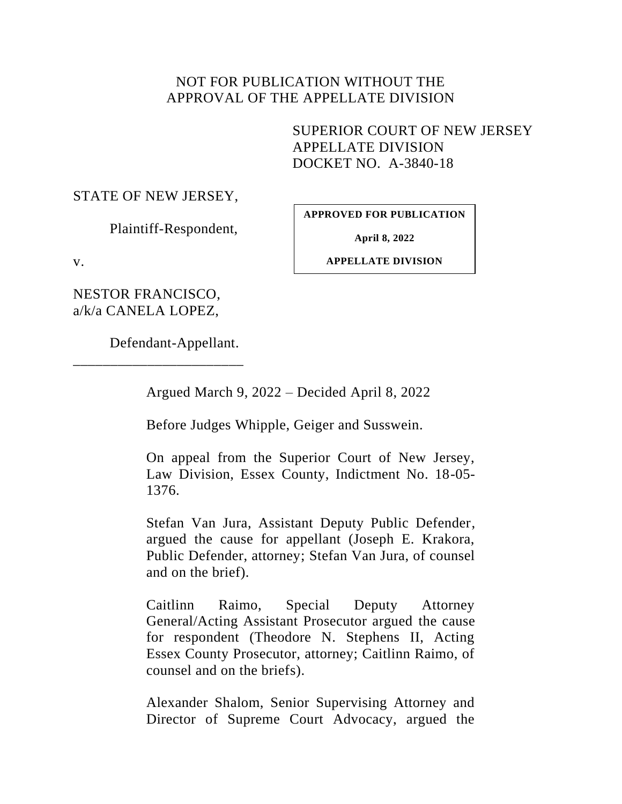## NOT FOR PUBLICATION WITHOUT THE APPROVAL OF THE APPELLATE DIVISION

SUPERIOR COURT OF NEW JERSEY APPELLATE DIVISION DOCKET NO. A-3840-18

### STATE OF NEW JERSEY,

Plaintiff-Respondent,

**APPROVED FOR PUBLICATION**

**April 8, 2022**

v.

**APPELLATE DIVISION**

NESTOR FRANCISCO, a/k/a CANELA LOPEZ,

Defendant-Appellant.

\_\_\_\_\_\_\_\_\_\_\_\_\_\_\_\_\_\_\_\_\_\_\_

Argued March 9, 2022 – Decided April 8, 2022

Before Judges Whipple, Geiger and Susswein.

On appeal from the Superior Court of New Jersey, Law Division, Essex County, Indictment No. 18-05- 1376.

Stefan Van Jura, Assistant Deputy Public Defender, argued the cause for appellant (Joseph E. Krakora, Public Defender, attorney; Stefan Van Jura, of counsel and on the brief).

Caitlinn Raimo, Special Deputy Attorney General/Acting Assistant Prosecutor argued the cause for respondent (Theodore N. Stephens II, Acting Essex County Prosecutor, attorney; Caitlinn Raimo, of counsel and on the briefs).

Alexander Shalom, Senior Supervising Attorney and Director of Supreme Court Advocacy, argued the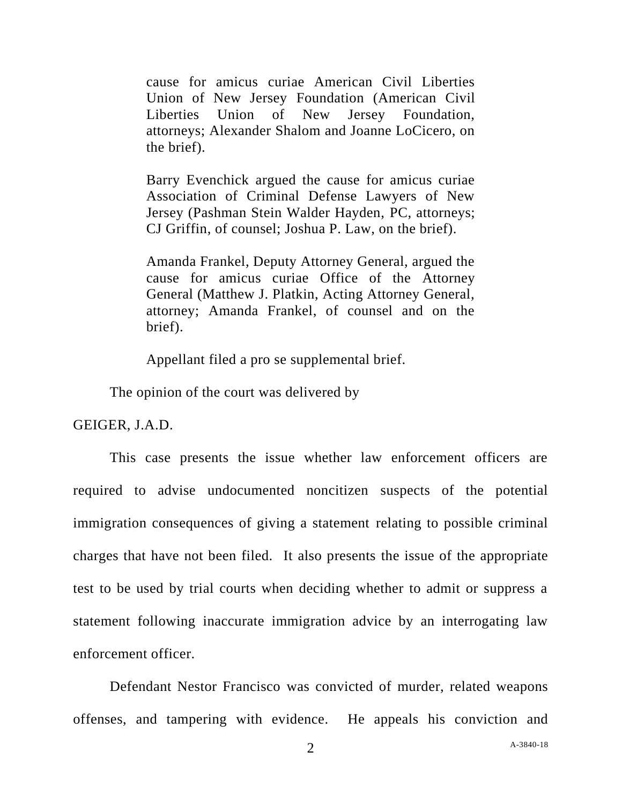cause for amicus curiae American Civil Liberties Union of New Jersey Foundation (American Civil Liberties Union of New Jersey Foundation, attorneys; Alexander Shalom and Joanne LoCicero, on the brief).

Barry Evenchick argued the cause for amicus curiae Association of Criminal Defense Lawyers of New Jersey (Pashman Stein Walder Hayden, PC, attorneys; CJ Griffin, of counsel; Joshua P. Law, on the brief).

Amanda Frankel, Deputy Attorney General, argued the cause for amicus curiae Office of the Attorney General (Matthew J. Platkin, Acting Attorney General, attorney; Amanda Frankel, of counsel and on the brief).

Appellant filed a pro se supplemental brief.

The opinion of the court was delivered by

GEIGER, J.A.D.

This case presents the issue whether law enforcement officers are required to advise undocumented noncitizen suspects of the potential immigration consequences of giving a statement relating to possible criminal charges that have not been filed. It also presents the issue of the appropriate test to be used by trial courts when deciding whether to admit or suppress a statement following inaccurate immigration advice by an interrogating law enforcement officer.

Defendant Nestor Francisco was convicted of murder, related weapons offenses, and tampering with evidence. He appeals his conviction and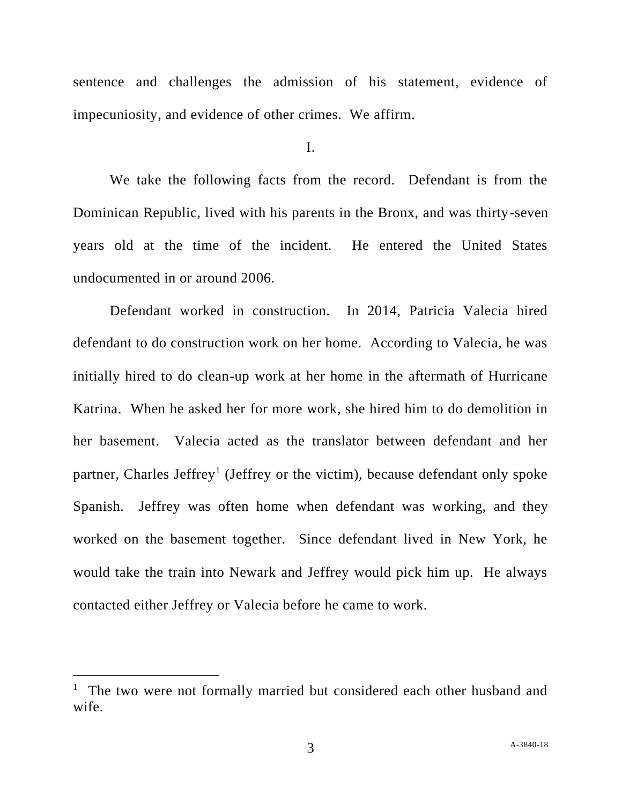sentence and challenges the admission of his statement, evidence of impecuniosity, and evidence of other crimes. We affirm.

I.

We take the following facts from the record. Defendant is from the Dominican Republic, lived with his parents in the Bronx, and was thirty-seven years old at the time of the incident. He entered the United States undocumented in or around 2006.

Defendant worked in construction. In 2014, Patricia Valecia hired defendant to do construction work on her home. According to Valecia, he was initially hired to do clean-up work at her home in the aftermath of Hurricane Katrina. When he asked her for more work, she hired him to do demolition in her basement. Valecia acted as the translator between defendant and her partner, Charles Jeffrey<sup>1</sup> (Jeffrey or the victim), because defendant only spoke Spanish. Jeffrey was often home when defendant was working, and they worked on the basement together. Since defendant lived in New York, he would take the train into Newark and Jeffrey would pick him up. He always contacted either Jeffrey or Valecia before he came to work.

<sup>&</sup>lt;sup>1</sup> The two were not formally married but considered each other husband and wife.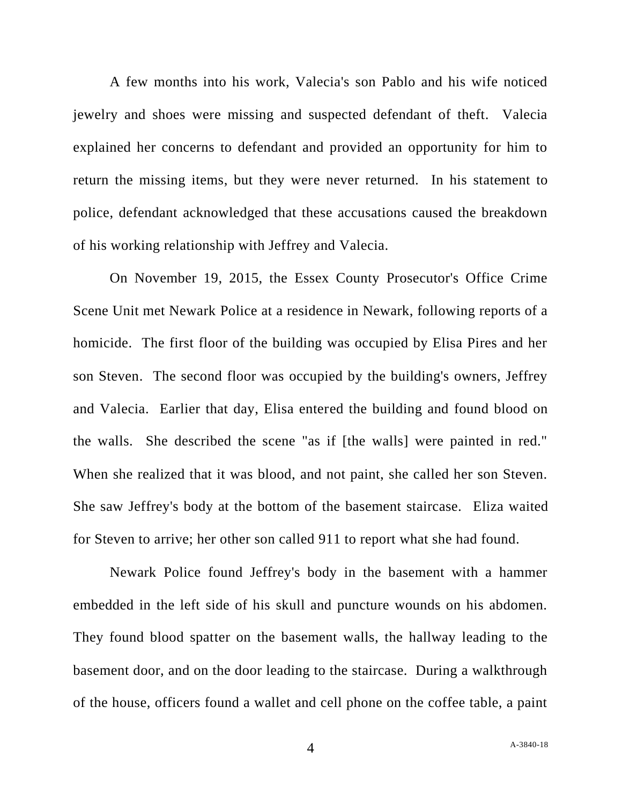A few months into his work, Valecia's son Pablo and his wife noticed jewelry and shoes were missing and suspected defendant of theft. Valecia explained her concerns to defendant and provided an opportunity for him to return the missing items, but they were never returned. In his statement to police, defendant acknowledged that these accusations caused the breakdown of his working relationship with Jeffrey and Valecia.

On November 19, 2015, the Essex County Prosecutor's Office Crime Scene Unit met Newark Police at a residence in Newark, following reports of a homicide. The first floor of the building was occupied by Elisa Pires and her son Steven. The second floor was occupied by the building's owners, Jeffrey and Valecia. Earlier that day, Elisa entered the building and found blood on the walls. She described the scene "as if [the walls] were painted in red." When she realized that it was blood, and not paint, she called her son Steven. She saw Jeffrey's body at the bottom of the basement staircase. Eliza waited for Steven to arrive; her other son called 911 to report what she had found.

Newark Police found Jeffrey's body in the basement with a hammer embedded in the left side of his skull and puncture wounds on his abdomen. They found blood spatter on the basement walls, the hallway leading to the basement door, and on the door leading to the staircase. During a walkthrough of the house, officers found a wallet and cell phone on the coffee table, a paint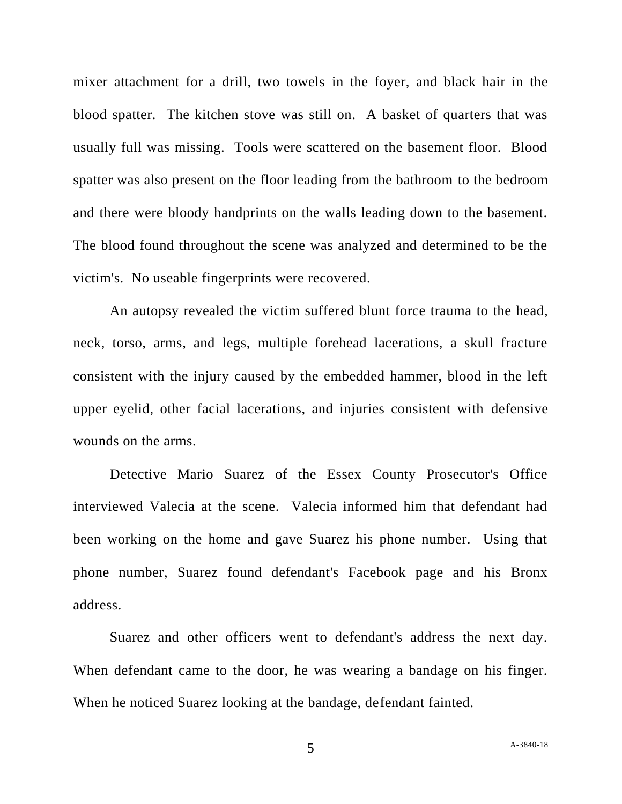mixer attachment for a drill, two towels in the foyer, and black hair in the blood spatter. The kitchen stove was still on. A basket of quarters that was usually full was missing. Tools were scattered on the basement floor. Blood spatter was also present on the floor leading from the bathroom to the bedroom and there were bloody handprints on the walls leading down to the basement. The blood found throughout the scene was analyzed and determined to be the victim's. No useable fingerprints were recovered.

An autopsy revealed the victim suffered blunt force trauma to the head, neck, torso, arms, and legs, multiple forehead lacerations, a skull fracture consistent with the injury caused by the embedded hammer, blood in the left upper eyelid, other facial lacerations, and injuries consistent with defensive wounds on the arms.

Detective Mario Suarez of the Essex County Prosecutor's Office interviewed Valecia at the scene. Valecia informed him that defendant had been working on the home and gave Suarez his phone number. Using that phone number, Suarez found defendant's Facebook page and his Bronx address.

Suarez and other officers went to defendant's address the next day. When defendant came to the door, he was wearing a bandage on his finger. When he noticed Suarez looking at the bandage, defendant fainted.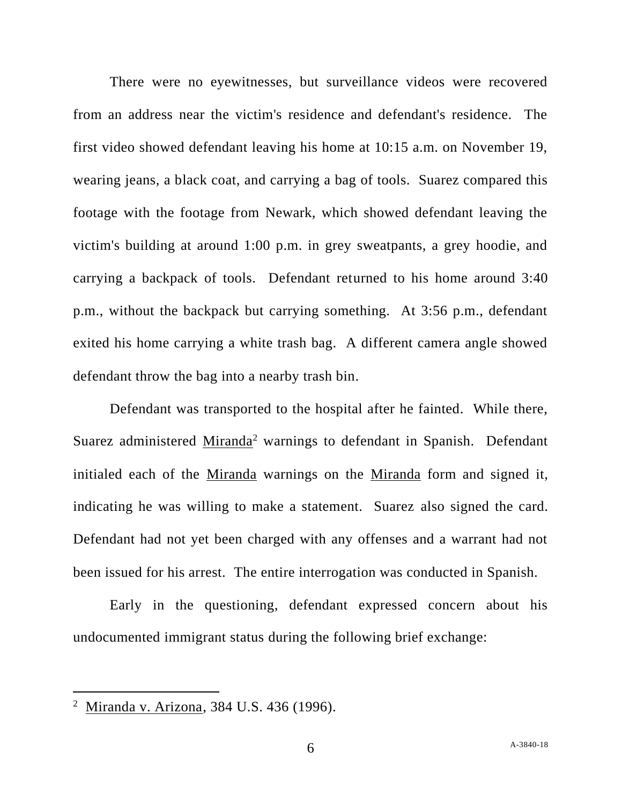There were no eyewitnesses, but surveillance videos were recovered from an address near the victim's residence and defendant's residence. The first video showed defendant leaving his home at 10:15 a.m. on November 19, wearing jeans, a black coat, and carrying a bag of tools. Suarez compared this footage with the footage from Newark, which showed defendant leaving the victim's building at around 1:00 p.m. in grey sweatpants, a grey hoodie, and carrying a backpack of tools. Defendant returned to his home around 3:40 p.m., without the backpack but carrying something. At 3:56 p.m., defendant exited his home carrying a white trash bag. A different camera angle showed defendant throw the bag into a nearby trash bin.

Defendant was transported to the hospital after he fainted. While there, Suarez administered Miranda<sup>2</sup> warnings to defendant in Spanish. Defendant initialed each of the Miranda warnings on the Miranda form and signed it, indicating he was willing to make a statement. Suarez also signed the card. Defendant had not yet been charged with any offenses and a warrant had not been issued for his arrest. The entire interrogation was conducted in Spanish.

Early in the questioning, defendant expressed concern about his undocumented immigrant status during the following brief exchange:

<sup>&</sup>lt;sup>2</sup> Miranda v. Arizona, 384 U.S. 436 (1996).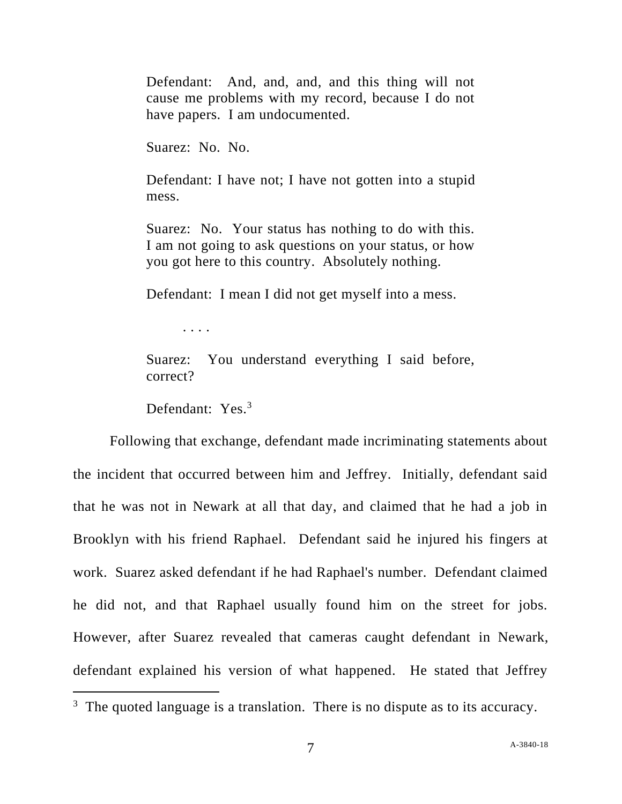Defendant: And, and, and, and this thing will not cause me problems with my record, because I do not have papers. I am undocumented.

Suarez: No. No.

Defendant: I have not; I have not gotten into a stupid mess.

Suarez: No. Your status has nothing to do with this. I am not going to ask questions on your status, or how you got here to this country. Absolutely nothing.

Defendant: I mean I did not get myself into a mess.

. . . .

Suarez: You understand everything I said before, correct?

Defendant: Yes.<sup>3</sup>

Following that exchange, defendant made incriminating statements about the incident that occurred between him and Jeffrey. Initially, defendant said that he was not in Newark at all that day, and claimed that he had a job in Brooklyn with his friend Raphael. Defendant said he injured his fingers at work. Suarez asked defendant if he had Raphael's number. Defendant claimed he did not, and that Raphael usually found him on the street for jobs. However, after Suarez revealed that cameras caught defendant in Newark, defendant explained his version of what happened. He stated that Jeffrey

 $3$  The quoted language is a translation. There is no dispute as to its accuracy.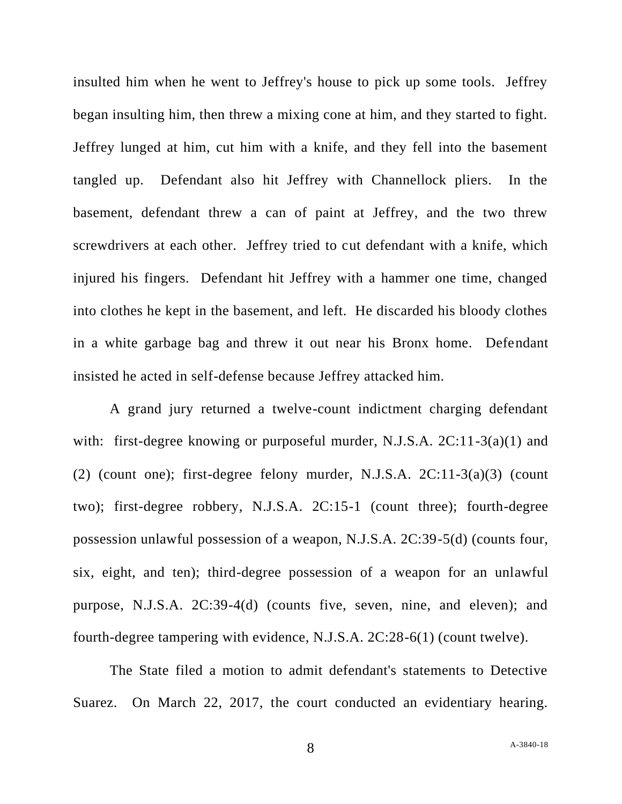insulted him when he went to Jeffrey's house to pick up some tools. Jeffrey began insulting him, then threw a mixing cone at him, and they started to fight. Jeffrey lunged at him, cut him with a knife, and they fell into the basement tangled up. Defendant also hit Jeffrey with Channellock pliers. In the basement, defendant threw a can of paint at Jeffrey, and the two threw screwdrivers at each other. Jeffrey tried to cut defendant with a knife, which injured his fingers. Defendant hit Jeffrey with a hammer one time, changed into clothes he kept in the basement, and left. He discarded his bloody clothes in a white garbage bag and threw it out near his Bronx home. Defendant insisted he acted in self-defense because Jeffrey attacked him.

A grand jury returned a twelve-count indictment charging defendant with: first-degree knowing or purposeful murder, N.J.S.A. 2C:11-3(a)(1) and (2) (count one); first-degree felony murder, N.J.S.A.  $2C:11-3(a)(3)$  (count two); first-degree robbery, N.J.S.A. 2C:15-1 (count three); fourth-degree possession unlawful possession of a weapon, N.J.S.A. 2C:39-5(d) (counts four, six, eight, and ten); third-degree possession of a weapon for an unlawful purpose, N.J.S.A. 2C:39-4(d) (counts five, seven, nine, and eleven); and fourth-degree tampering with evidence, N.J.S.A. 2C:28-6(1) (count twelve).

The State filed a motion to admit defendant's statements to Detective Suarez. On March 22, 2017, the court conducted an evidentiary hearing.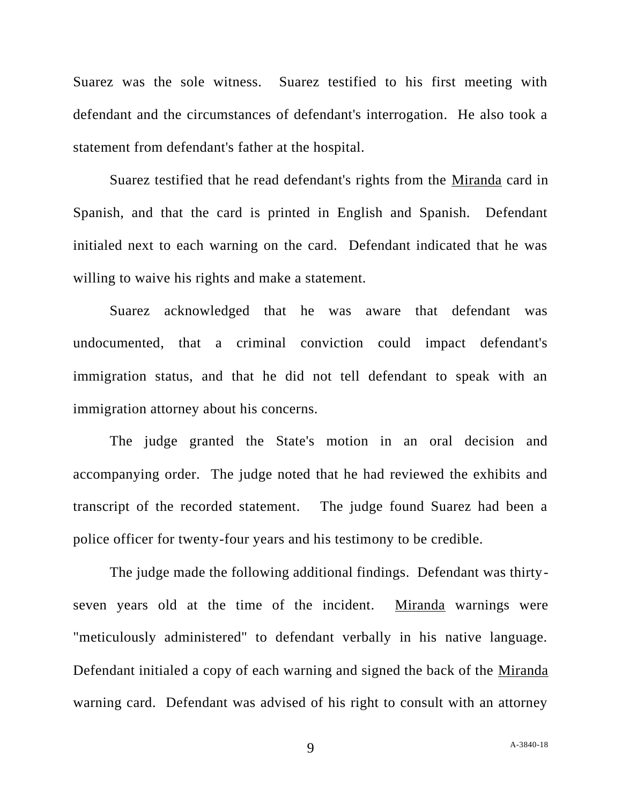Suarez was the sole witness. Suarez testified to his first meeting with defendant and the circumstances of defendant's interrogation. He also took a statement from defendant's father at the hospital.

Suarez testified that he read defendant's rights from the Miranda card in Spanish, and that the card is printed in English and Spanish. Defendant initialed next to each warning on the card. Defendant indicated that he was willing to waive his rights and make a statement.

Suarez acknowledged that he was aware that defendant was undocumented, that a criminal conviction could impact defendant's immigration status, and that he did not tell defendant to speak with an immigration attorney about his concerns.

The judge granted the State's motion in an oral decision and accompanying order. The judge noted that he had reviewed the exhibits and transcript of the recorded statement. The judge found Suarez had been a police officer for twenty-four years and his testimony to be credible.

The judge made the following additional findings. Defendant was thirtyseven years old at the time of the incident. Miranda warnings were "meticulously administered" to defendant verbally in his native language. Defendant initialed a copy of each warning and signed the back of the Miranda warning card. Defendant was advised of his right to consult with an attorney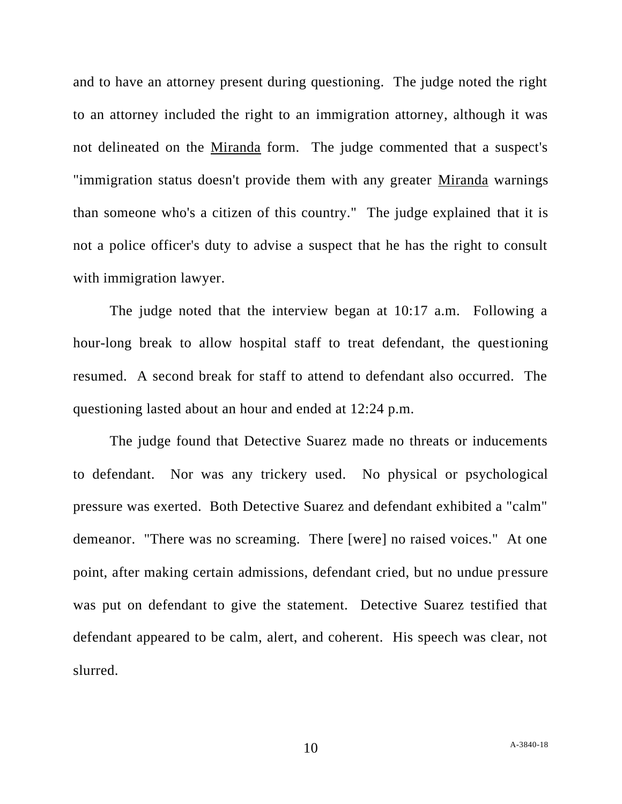and to have an attorney present during questioning. The judge noted the right to an attorney included the right to an immigration attorney, although it was not delineated on the Miranda form. The judge commented that a suspect's "immigration status doesn't provide them with any greater Miranda warnings than someone who's a citizen of this country." The judge explained that it is not a police officer's duty to advise a suspect that he has the right to consult with immigration lawyer.

The judge noted that the interview began at 10:17 a.m. Following a hour-long break to allow hospital staff to treat defendant, the questioning resumed. A second break for staff to attend to defendant also occurred. The questioning lasted about an hour and ended at 12:24 p.m.

The judge found that Detective Suarez made no threats or inducements to defendant. Nor was any trickery used. No physical or psychological pressure was exerted. Both Detective Suarez and defendant exhibited a "calm" demeanor. "There was no screaming. There [were] no raised voices." At one point, after making certain admissions, defendant cried, but no undue pressure was put on defendant to give the statement. Detective Suarez testified that defendant appeared to be calm, alert, and coherent. His speech was clear, not slurred.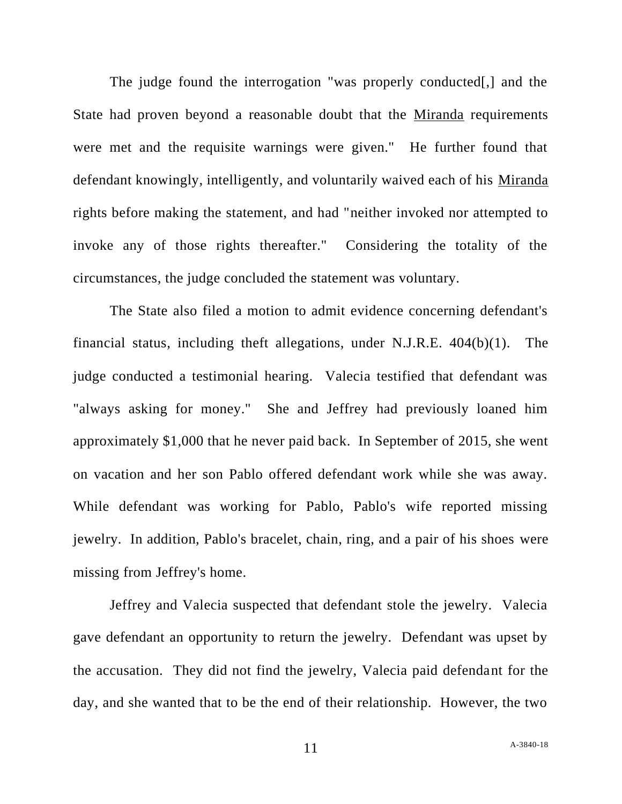The judge found the interrogation "was properly conducted... State had proven beyond a reasonable doubt that the Miranda requirements were met and the requisite warnings were given." He further found that defendant knowingly, intelligently, and voluntarily waived each of his Miranda rights before making the statement, and had "neither invoked nor attempted to invoke any of those rights thereafter." Considering the totality of the circumstances, the judge concluded the statement was voluntary.

The State also filed a motion to admit evidence concerning defendant's financial status, including theft allegations, under N.J.R.E. 404(b)(1). The judge conducted a testimonial hearing. Valecia testified that defendant was "always asking for money." She and Jeffrey had previously loaned him approximately \$1,000 that he never paid back. In September of 2015, she went on vacation and her son Pablo offered defendant work while she was away. While defendant was working for Pablo, Pablo's wife reported missing jewelry. In addition, Pablo's bracelet, chain, ring, and a pair of his shoes were missing from Jeffrey's home.

Jeffrey and Valecia suspected that defendant stole the jewelry. Valecia gave defendant an opportunity to return the jewelry. Defendant was upset by the accusation. They did not find the jewelry, Valecia paid defendant for the day, and she wanted that to be the end of their relationship. However, the two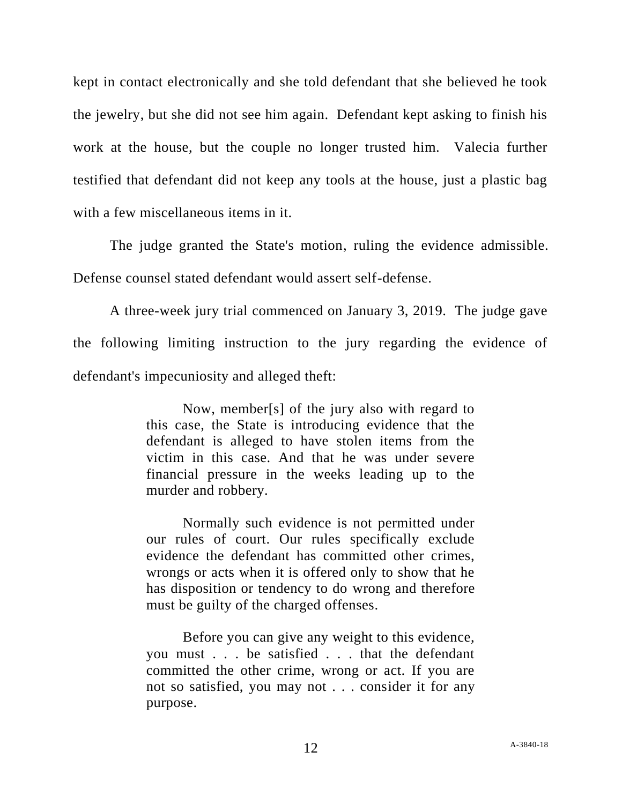kept in contact electronically and she told defendant that she believed he took the jewelry, but she did not see him again. Defendant kept asking to finish his work at the house, but the couple no longer trusted him. Valecia further testified that defendant did not keep any tools at the house, just a plastic bag with a few miscellaneous items in it.

The judge granted the State's motion, ruling the evidence admissible. Defense counsel stated defendant would assert self-defense.

A three-week jury trial commenced on January 3, 2019. The judge gave the following limiting instruction to the jury regarding the evidence of defendant's impecuniosity and alleged theft:

> Now, member[s] of the jury also with regard to this case, the State is introducing evidence that the defendant is alleged to have stolen items from the victim in this case. And that he was under severe financial pressure in the weeks leading up to the murder and robbery.

> Normally such evidence is not permitted under our rules of court. Our rules specifically exclude evidence the defendant has committed other crimes, wrongs or acts when it is offered only to show that he has disposition or tendency to do wrong and therefore must be guilty of the charged offenses.

> Before you can give any weight to this evidence, you must . . . be satisfied . . . that the defendant committed the other crime, wrong or act. If you are not so satisfied, you may not . . . consider it for any purpose.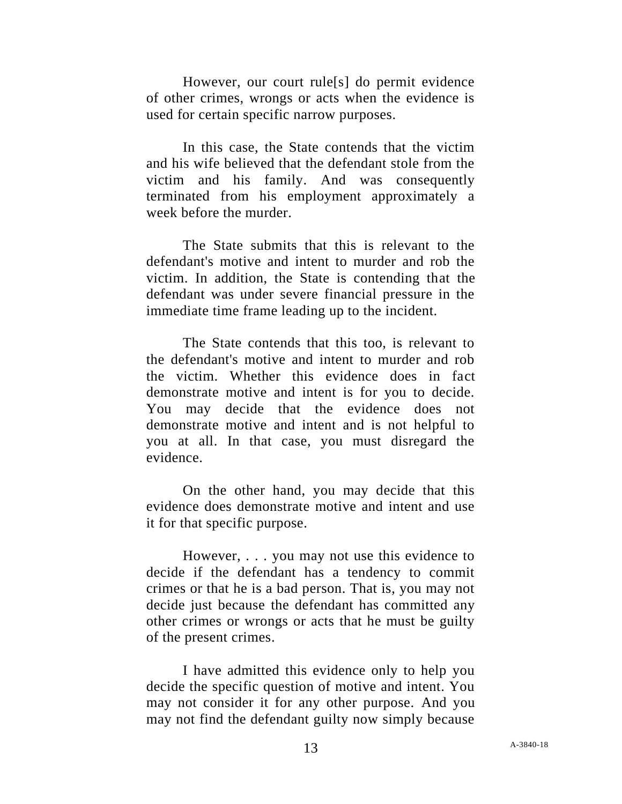However, our court rule[s] do permit evidence of other crimes, wrongs or acts when the evidence is used for certain specific narrow purposes.

In this case, the State contends that the victim and his wife believed that the defendant stole from the victim and his family. And was consequently terminated from his employment approximately a week before the murder.

The State submits that this is relevant to the defendant's motive and intent to murder and rob the victim. In addition, the State is contending that the defendant was under severe financial pressure in the immediate time frame leading up to the incident.

The State contends that this too, is relevant to the defendant's motive and intent to murder and rob the victim. Whether this evidence does in fact demonstrate motive and intent is for you to decide. You may decide that the evidence does not demonstrate motive and intent and is not helpful to you at all. In that case, you must disregard the evidence.

On the other hand, you may decide that this evidence does demonstrate motive and intent and use it for that specific purpose.

However, . . . you may not use this evidence to decide if the defendant has a tendency to commit crimes or that he is a bad person. That is, you may not decide just because the defendant has committed any other crimes or wrongs or acts that he must be guilty of the present crimes.

I have admitted this evidence only to help you decide the specific question of motive and intent. You may not consider it for any other purpose. And you may not find the defendant guilty now simply because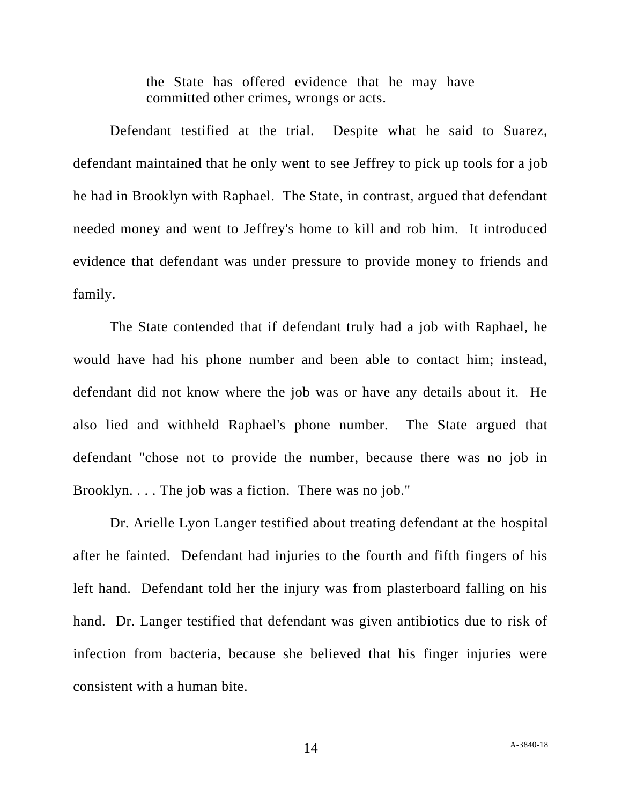the State has offered evidence that he may have committed other crimes, wrongs or acts.

Defendant testified at the trial. Despite what he said to Suarez, defendant maintained that he only went to see Jeffrey to pick up tools for a job he had in Brooklyn with Raphael. The State, in contrast, argued that defendant needed money and went to Jeffrey's home to kill and rob him. It introduced evidence that defendant was under pressure to provide money to friends and family.

The State contended that if defendant truly had a job with Raphael, he would have had his phone number and been able to contact him; instead, defendant did not know where the job was or have any details about it. He also lied and withheld Raphael's phone number. The State argued that defendant "chose not to provide the number, because there was no job in Brooklyn. . . . The job was a fiction. There was no job."

Dr. Arielle Lyon Langer testified about treating defendant at the hospital after he fainted. Defendant had injuries to the fourth and fifth fingers of his left hand. Defendant told her the injury was from plasterboard falling on his hand. Dr. Langer testified that defendant was given antibiotics due to risk of infection from bacteria, because she believed that his finger injuries were consistent with a human bite.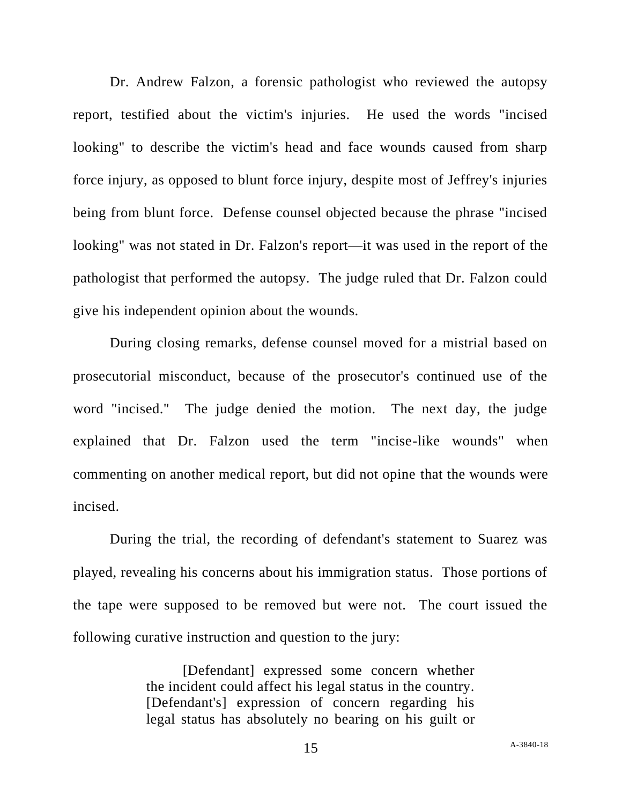Dr. Andrew Falzon, a forensic pathologist who reviewed the autopsy report, testified about the victim's injuries. He used the words "incised looking" to describe the victim's head and face wounds caused from sharp force injury, as opposed to blunt force injury, despite most of Jeffrey's injuries being from blunt force. Defense counsel objected because the phrase "incised looking" was not stated in Dr. Falzon's report—it was used in the report of the pathologist that performed the autopsy. The judge ruled that Dr. Falzon could give his independent opinion about the wounds.

During closing remarks, defense counsel moved for a mistrial based on prosecutorial misconduct, because of the prosecutor's continued use of the word "incised." The judge denied the motion. The next day, the judge explained that Dr. Falzon used the term "incise-like wounds" when commenting on another medical report, but did not opine that the wounds were incised.

During the trial, the recording of defendant's statement to Suarez was played, revealing his concerns about his immigration status. Those portions of the tape were supposed to be removed but were not. The court issued the following curative instruction and question to the jury:

> [Defendant] expressed some concern whether the incident could affect his legal status in the country. [Defendant's] expression of concern regarding his legal status has absolutely no bearing on his guilt or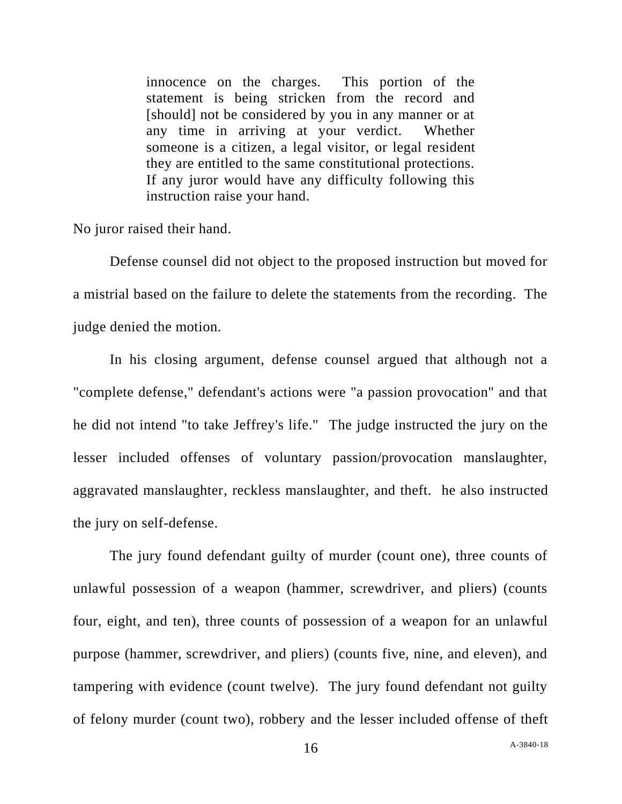innocence on the charges. This portion of the statement is being stricken from the record and [should] not be considered by you in any manner or at any time in arriving at your verdict. Whether someone is a citizen, a legal visitor, or legal resident they are entitled to the same constitutional protections. If any juror would have any difficulty following this instruction raise your hand.

No juror raised their hand.

Defense counsel did not object to the proposed instruction but moved for a mistrial based on the failure to delete the statements from the recording. The judge denied the motion.

In his closing argument, defense counsel argued that although not a "complete defense," defendant's actions were "a passion provocation" and that he did not intend "to take Jeffrey's life." The judge instructed the jury on the lesser included offenses of voluntary passion/provocation manslaughter, aggravated manslaughter, reckless manslaughter, and theft. he also instructed the jury on self-defense.

The jury found defendant guilty of murder (count one), three counts of unlawful possession of a weapon (hammer, screwdriver, and pliers) (counts four, eight, and ten), three counts of possession of a weapon for an unlawful purpose (hammer, screwdriver, and pliers) (counts five, nine, and eleven), and tampering with evidence (count twelve). The jury found defendant not guilty of felony murder (count two), robbery and the lesser included offense of theft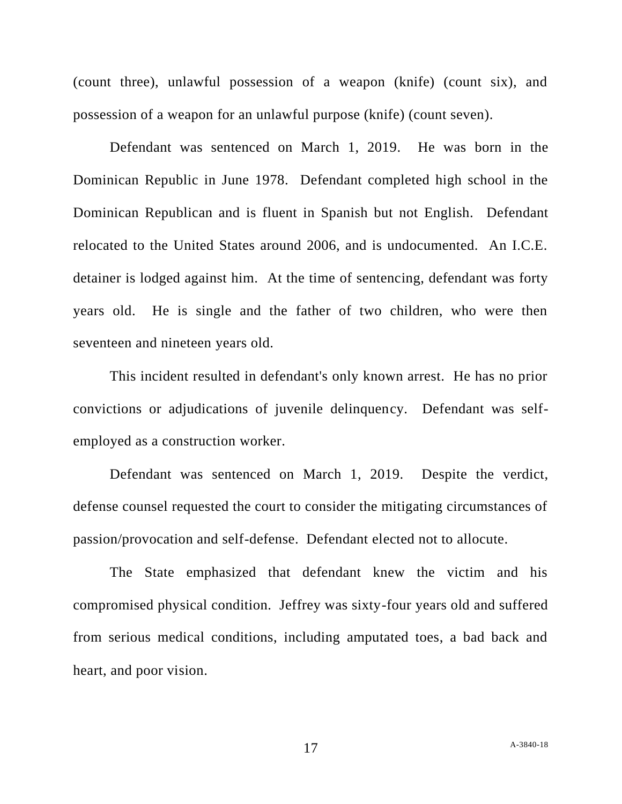(count three), unlawful possession of a weapon (knife) (count six), and possession of a weapon for an unlawful purpose (knife) (count seven).

Defendant was sentenced on March 1, 2019. He was born in the Dominican Republic in June 1978. Defendant completed high school in the Dominican Republican and is fluent in Spanish but not English. Defendant relocated to the United States around 2006, and is undocumented. An I.C.E. detainer is lodged against him. At the time of sentencing, defendant was forty years old. He is single and the father of two children, who were then seventeen and nineteen years old.

This incident resulted in defendant's only known arrest. He has no prior convictions or adjudications of juvenile delinquency. Defendant was selfemployed as a construction worker.

Defendant was sentenced on March 1, 2019. Despite the verdict, defense counsel requested the court to consider the mitigating circumstances of passion/provocation and self-defense. Defendant elected not to allocute.

The State emphasized that defendant knew the victim and his compromised physical condition. Jeffrey was sixty-four years old and suffered from serious medical conditions, including amputated toes, a bad back and heart, and poor vision.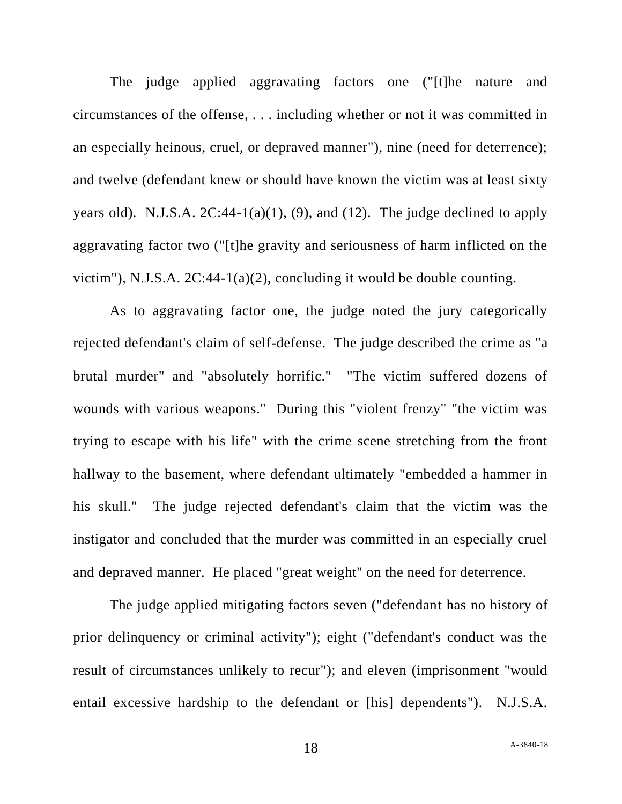The judge applied aggravating factors one ("[t]he nature and circumstances of the offense, . . . including whether or not it was committed in an especially heinous, cruel, or depraved manner"), nine (need for deterrence); and twelve (defendant knew or should have known the victim was at least sixty years old). N.J.S.A.  $2C:44-1(a)(1)$ , (9), and (12). The judge declined to apply aggravating factor two ("[t]he gravity and seriousness of harm inflicted on the victim"), N.J.S.A. 2C:44-1(a)(2), concluding it would be double counting.

As to aggravating factor one, the judge noted the jury categorically rejected defendant's claim of self-defense. The judge described the crime as "a brutal murder" and "absolutely horrific." "The victim suffered dozens of wounds with various weapons." During this "violent frenzy" "the victim was trying to escape with his life" with the crime scene stretching from the front hallway to the basement, where defendant ultimately "embedded a hammer in his skull." The judge rejected defendant's claim that the victim was the instigator and concluded that the murder was committed in an especially cruel and depraved manner. He placed "great weight" on the need for deterrence.

The judge applied mitigating factors seven ("defendant has no history of prior delinquency or criminal activity"); eight ("defendant's conduct was the result of circumstances unlikely to recur"); and eleven (imprisonment "would entail excessive hardship to the defendant or [his] dependents"). N.J.S.A.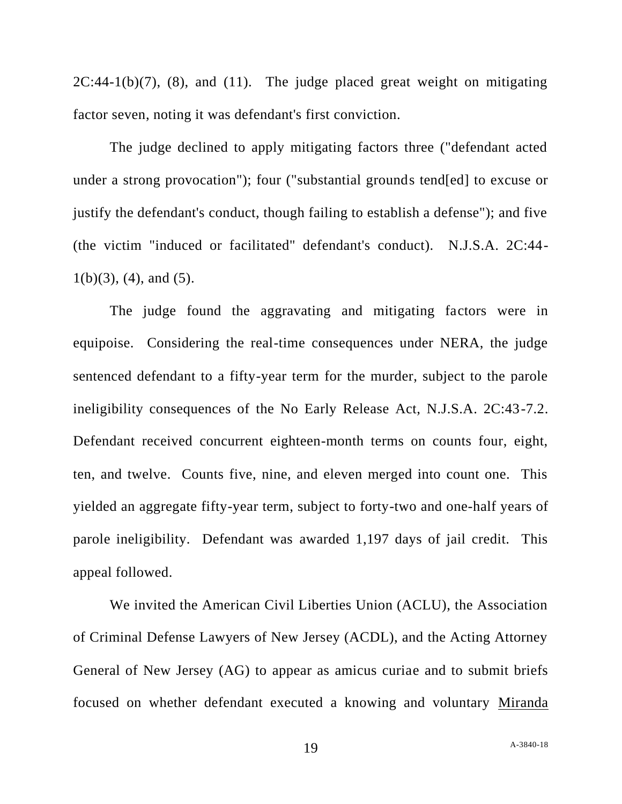$2C:44-1(b)(7)$ , (8), and (11). The judge placed great weight on mitigating factor seven, noting it was defendant's first conviction.

The judge declined to apply mitigating factors three ("defendant acted under a strong provocation"); four ("substantial grounds tend[ed] to excuse or justify the defendant's conduct, though failing to establish a defense"); and five (the victim "induced or facilitated" defendant's conduct). N.J.S.A. 2C:44-  $1(b)(3)$ ,  $(4)$ , and  $(5)$ .

The judge found the aggravating and mitigating factors were in equipoise. Considering the real-time consequences under NERA, the judge sentenced defendant to a fifty-year term for the murder, subject to the parole ineligibility consequences of the No Early Release Act, N.J.S.A. 2C:43-7.2. Defendant received concurrent eighteen-month terms on counts four, eight, ten, and twelve. Counts five, nine, and eleven merged into count one. This yielded an aggregate fifty-year term, subject to forty-two and one-half years of parole ineligibility. Defendant was awarded 1,197 days of jail credit. This appeal followed.

We invited the American Civil Liberties Union (ACLU), the Association of Criminal Defense Lawyers of New Jersey (ACDL), and the Acting Attorney General of New Jersey (AG) to appear as amicus curiae and to submit briefs focused on whether defendant executed a knowing and voluntary Miranda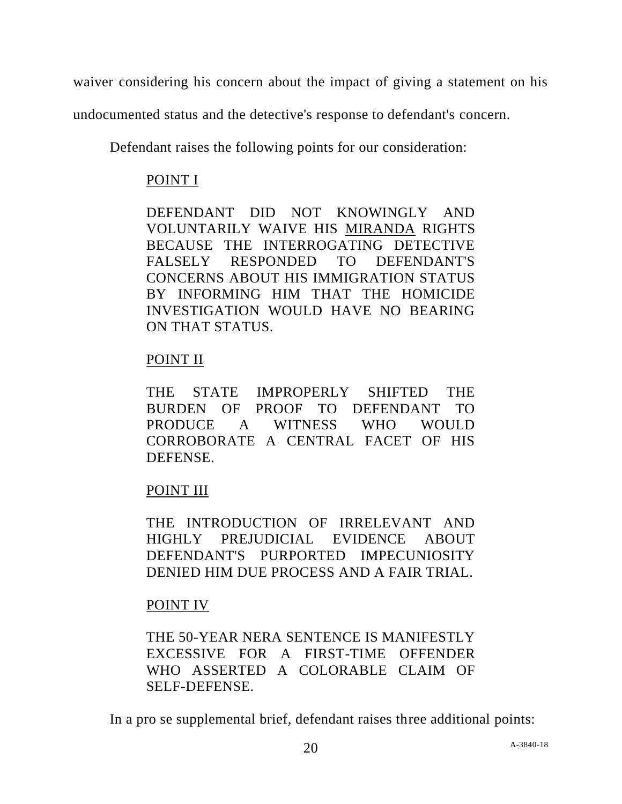waiver considering his concern about the impact of giving a statement on his

undocumented status and the detective's response to defendant's concern.

Defendant raises the following points for our consideration:

## POINT I

DEFENDANT DID NOT KNOWINGLY AND VOLUNTARILY WAIVE HIS MIRANDA RIGHTS BECAUSE THE INTERROGATING DETECTIVE FALSELY RESPONDED TO DEFENDANT'S CONCERNS ABOUT HIS IMMIGRATION STATUS BY INFORMING HIM THAT THE HOMICIDE INVESTIGATION WOULD HAVE NO BEARING ON THAT STATUS.

## POINT II

THE STATE IMPROPERLY SHIFTED THE BURDEN OF PROOF TO DEFENDANT TO PRODUCE A WITNESS WHO WOULD CORROBORATE A CENTRAL FACET OF HIS DEFENSE.

# POINT III

THE INTRODUCTION OF IRRELEVANT AND HIGHLY PREJUDICIAL EVIDENCE ABOUT DEFENDANT'S PURPORTED IMPECUNIOSITY DENIED HIM DUE PROCESS AND A FAIR TRIAL.

## POINT IV

THE 50-YEAR NERA SENTENCE IS MANIFESTLY EXCESSIVE FOR A FIRST-TIME OFFENDER WHO ASSERTED A COLORABLE CLAIM OF SELF-DEFENSE.

In a pro se supplemental brief, defendant raises three additional points: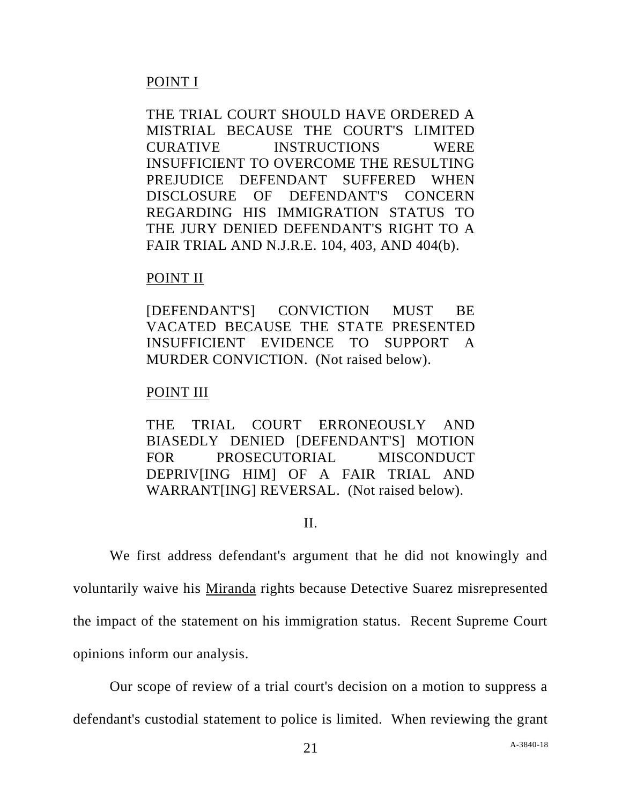## POINT I

THE TRIAL COURT SHOULD HAVE ORDERED A MISTRIAL BECAUSE THE COURT'S LIMITED CURATIVE INSTRUCTIONS WERE INSUFFICIENT TO OVERCOME THE RESULTING PREJUDICE DEFENDANT SUFFERED WHEN DISCLOSURE OF DEFENDANT'S CONCERN REGARDING HIS IMMIGRATION STATUS TO THE JURY DENIED DEFENDANT'S RIGHT TO A FAIR TRIAL AND N.J.R.E. 104, 403, AND 404(b).

## POINT II

[DEFENDANT'S] CONVICTION MUST BE VACATED BECAUSE THE STATE PRESENTED INSUFFICIENT EVIDENCE TO SUPPORT A MURDER CONVICTION. (Not raised below).

## POINT III

THE TRIAL COURT ERRONEOUSLY AND BIASEDLY DENIED [DEFENDANT'S] MOTION FOR PROSECUTORIAL MISCONDUCT DEPRIV[ING HIM] OF A FAIR TRIAL AND WARRANT[ING] REVERSAL. (Not raised below).

### II.

We first address defendant's argument that he did not knowingly and voluntarily waive his Miranda rights because Detective Suarez misrepresented the impact of the statement on his immigration status. Recent Supreme Court opinions inform our analysis.

Our scope of review of a trial court's decision on a motion to suppress a defendant's custodial statement to police is limited. When reviewing the grant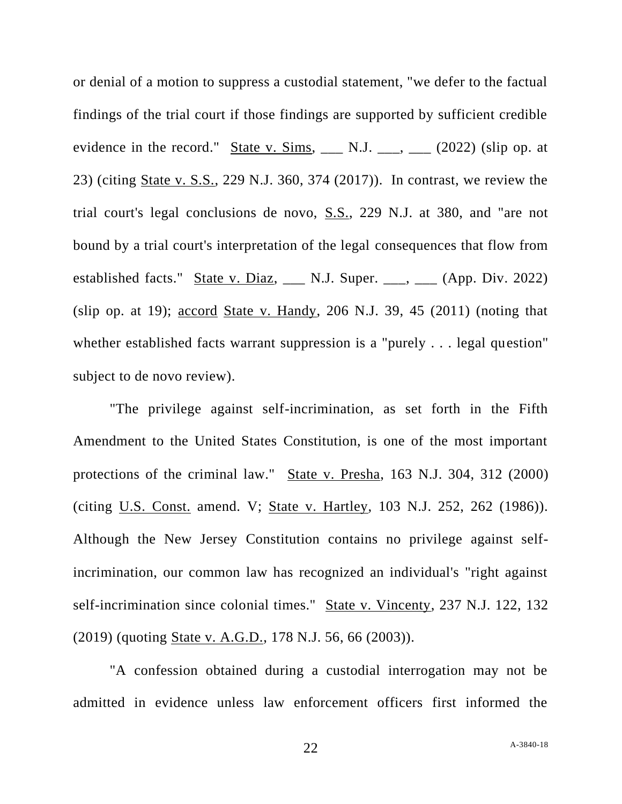or denial of a motion to suppress a custodial statement, "we defer to the factual findings of the trial court if those findings are supported by sufficient credible evidence in the record." State v. Sims,  $\Box$  N.J.  $\Box$ ,  $\Box$  (2022) (slip op. at 23) (citing State v. S.S., 229 N.J. 360, 374 (2017)). In contrast, we review the trial court's legal conclusions de novo, S.S., 229 N.J. at 380, and "are not bound by a trial court's interpretation of the legal consequences that flow from established facts." State v. Diaz, \_\_\_ N.J. Super. \_\_\_, \_\_\_ (App. Div. 2022) (slip op. at 19);  $\frac{\text{accord}}{\text{State v.} \text{Handy}}$ , 206 N.J. 39, 45 (2011) (noting that whether established facts warrant suppression is a "purely . . . legal question" subject to de novo review).

"The privilege against self-incrimination, as set forth in the Fifth Amendment to the United States Constitution, is one of the most important protections of the criminal law." State v. Presha, 163 N.J. 304, 312 (2000) (citing U.S. Const. amend. V; State v. Hartley, 103 N.J. 252, 262 (1986)). Although the New Jersey Constitution contains no privilege against selfincrimination, our common law has recognized an individual's "right against self-incrimination since colonial times." State v. Vincenty, 237 N.J. 122, 132 (2019) (quoting State v. A.G.D., 178 N.J. 56, 66 (2003)).

"A confession obtained during a custodial interrogation may not be admitted in evidence unless law enforcement officers first informed the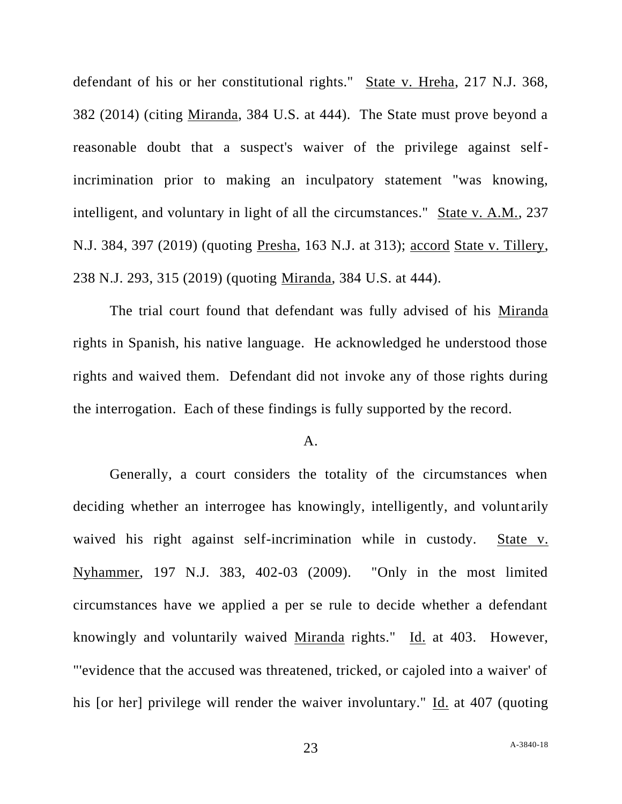defendant of his or her constitutional rights." State v. Hreha, 217 N.J. 368, 382 (2014) (citing Miranda, 384 U.S. at 444). The State must prove beyond a reasonable doubt that a suspect's waiver of the privilege against selfincrimination prior to making an inculpatory statement "was knowing, intelligent, and voluntary in light of all the circumstances." State v. A.M., 237 N.J. 384, 397 (2019) (quoting Presha, 163 N.J. at 313); accord State v. Tillery, 238 N.J. 293, 315 (2019) (quoting Miranda, 384 U.S. at 444).

The trial court found that defendant was fully advised of his Miranda rights in Spanish, his native language. He acknowledged he understood those rights and waived them. Defendant did not invoke any of those rights during the interrogation. Each of these findings is fully supported by the record.

### A.

Generally, a court considers the totality of the circumstances when deciding whether an interrogee has knowingly, intelligently, and voluntarily waived his right against self-incrimination while in custody. State v. Nyhammer, 197 N.J. 383, 402-03 (2009). "Only in the most limited circumstances have we applied a per se rule to decide whether a defendant knowingly and voluntarily waived Miranda rights." Id. at 403. However, "'evidence that the accused was threatened, tricked, or cajoled into a waiver' of his [or her] privilege will render the waiver involuntary." Id. at 407 (quoting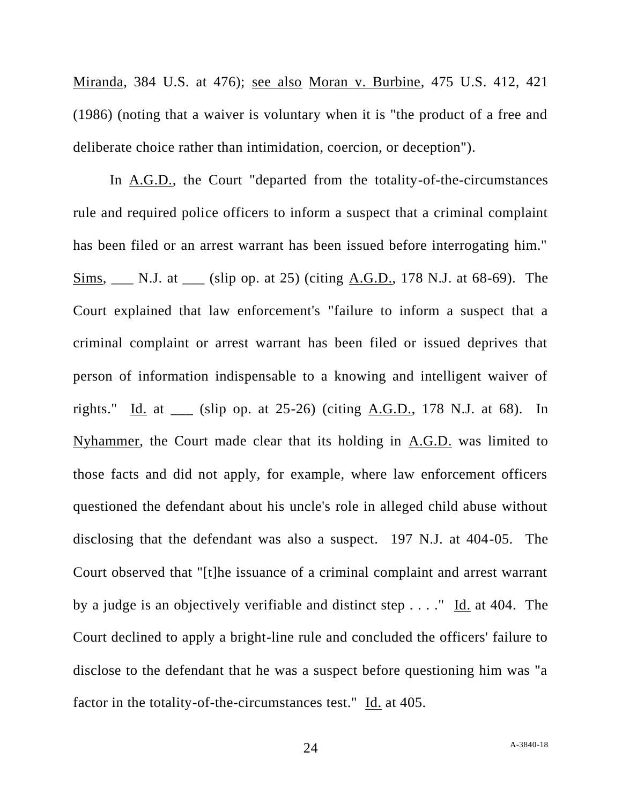Miranda, 384 U.S. at 476); see also Moran v. Burbine, 475 U.S. 412, 421 (1986) (noting that a waiver is voluntary when it is "the product of a free and deliberate choice rather than intimidation, coercion, or deception").

In A.G.D., the Court "departed from the totality-of-the-circumstances rule and required police officers to inform a suspect that a criminal complaint has been filed or an arrest warrant has been issued before interrogating him." Sims, \_\_\_ N.J. at \_\_\_ (slip op. at 25) (citing A.G.D., 178 N.J. at 68-69). The Court explained that law enforcement's "failure to inform a suspect that a criminal complaint or arrest warrant has been filed or issued deprives that person of information indispensable to a knowing and intelligent waiver of rights." Id. at \_\_\_ (slip op. at 25-26) (citing A.G.D., 178 N.J. at 68). In Nyhammer, the Court made clear that its holding in A.G.D. was limited to those facts and did not apply, for example, where law enforcement officers questioned the defendant about his uncle's role in alleged child abuse without disclosing that the defendant was also a suspect. 197 N.J. at 404-05. The Court observed that "[t]he issuance of a criminal complaint and arrest warrant by a judge is an objectively verifiable and distinct step . . . ." Id. at 404. The Court declined to apply a bright-line rule and concluded the officers' failure to disclose to the defendant that he was a suspect before questioning him was "a factor in the totality-of-the-circumstances test." Id. at 405.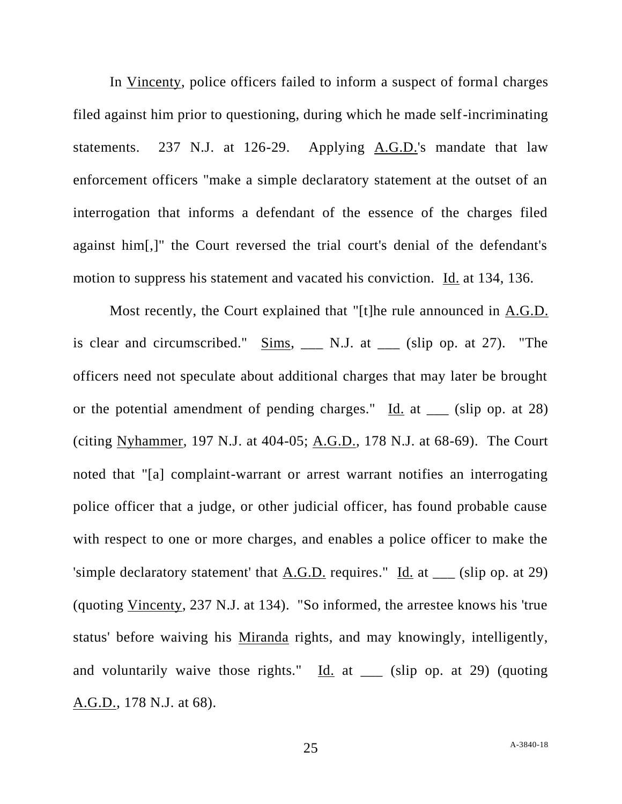In Vincenty, police officers failed to inform a suspect of formal charges filed against him prior to questioning, during which he made self-incriminating statements. 237 N.J. at 126-29. Applying A.G.D.'s mandate that law enforcement officers "make a simple declaratory statement at the outset of an interrogation that informs a defendant of the essence of the charges filed against him[,]" the Court reversed the trial court's denial of the defendant's motion to suppress his statement and vacated his conviction. Id. at 134, 136.

Most recently, the Court explained that "[t]he rule announced in A.G.D. is clear and circumscribed."  $\frac{Sims}{s}$  \_\_ N.J. at \_\_ (slip op. at 27). "The officers need not speculate about additional charges that may later be brought or the potential amendment of pending charges."  $\underline{Id}$  at  $\underline{\hspace{1cm}}$  (slip op. at 28) (citing Nyhammer, 197 N.J. at 404-05; A.G.D., 178 N.J. at 68-69). The Court noted that "[a] complaint-warrant or arrest warrant notifies an interrogating police officer that a judge, or other judicial officer, has found probable cause with respect to one or more charges, and enables a police officer to make the 'simple declaratory statement' that  $\overline{A.G.D.}$  requires." Id. at \_\_ (slip op. at 29) (quoting Vincenty, 237 N.J. at 134). "So informed, the arrestee knows his 'true status' before waiving his Miranda rights, and may knowingly, intelligently, and voluntarily waive those rights." Id. at \_\_\_ (slip op. at 29) (quoting A.G.D., 178 N.J. at 68).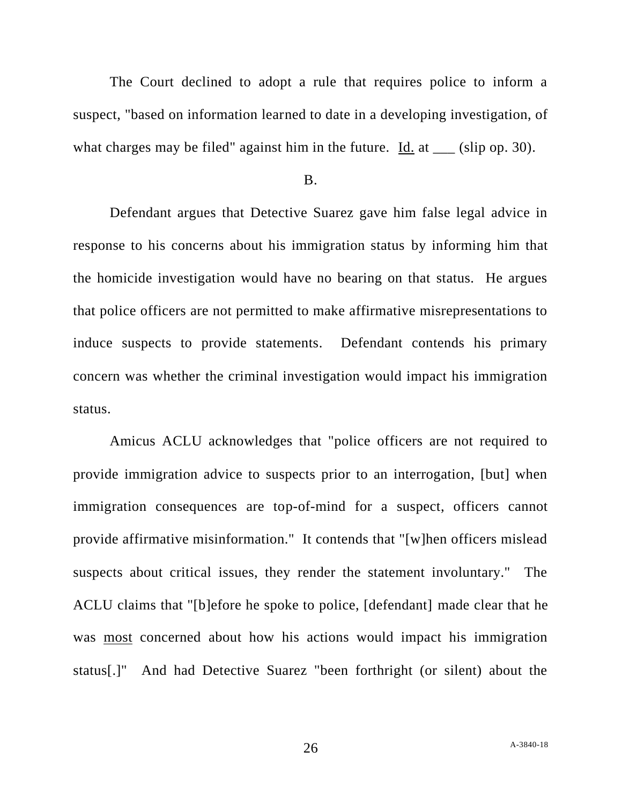The Court declined to adopt a rule that requires police to inform a suspect, "based on information learned to date in a developing investigation, of what charges may be filed" against him in the future. Id. at \_\_\_ (slip op. 30).

#### B.

Defendant argues that Detective Suarez gave him false legal advice in response to his concerns about his immigration status by informing him that the homicide investigation would have no bearing on that status. He argues that police officers are not permitted to make affirmative misrepresentations to induce suspects to provide statements. Defendant contends his primary concern was whether the criminal investigation would impact his immigration status.

Amicus ACLU acknowledges that "police officers are not required to provide immigration advice to suspects prior to an interrogation, [but] when immigration consequences are top-of-mind for a suspect, officers cannot provide affirmative misinformation." It contends that "[w]hen officers mislead suspects about critical issues, they render the statement involuntary." The ACLU claims that "[b]efore he spoke to police, [defendant] made clear that he was most concerned about how his actions would impact his immigration status[.]" And had Detective Suarez "been forthright (or silent) about the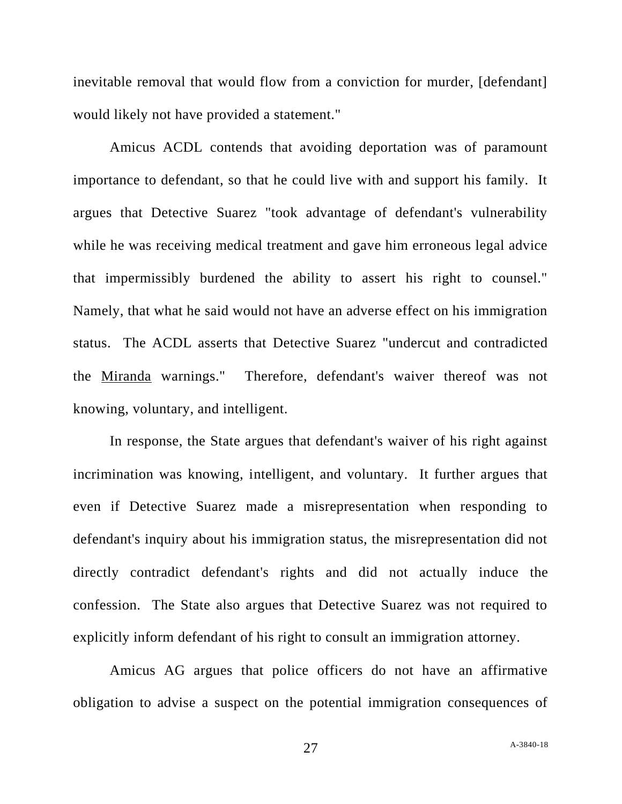inevitable removal that would flow from a conviction for murder, [defendant] would likely not have provided a statement."

Amicus ACDL contends that avoiding deportation was of paramount importance to defendant, so that he could live with and support his family. It argues that Detective Suarez "took advantage of defendant's vulnerability while he was receiving medical treatment and gave him erroneous legal advice that impermissibly burdened the ability to assert his right to counsel." Namely, that what he said would not have an adverse effect on his immigration status. The ACDL asserts that Detective Suarez "undercut and contradicted the Miranda warnings." Therefore, defendant's waiver thereof was not knowing, voluntary, and intelligent.

In response, the State argues that defendant's waiver of his right against incrimination was knowing, intelligent, and voluntary. It further argues that even if Detective Suarez made a misrepresentation when responding to defendant's inquiry about his immigration status, the misrepresentation did not directly contradict defendant's rights and did not actually induce the confession. The State also argues that Detective Suarez was not required to explicitly inform defendant of his right to consult an immigration attorney.

Amicus AG argues that police officers do not have an affirmative obligation to advise a suspect on the potential immigration consequences of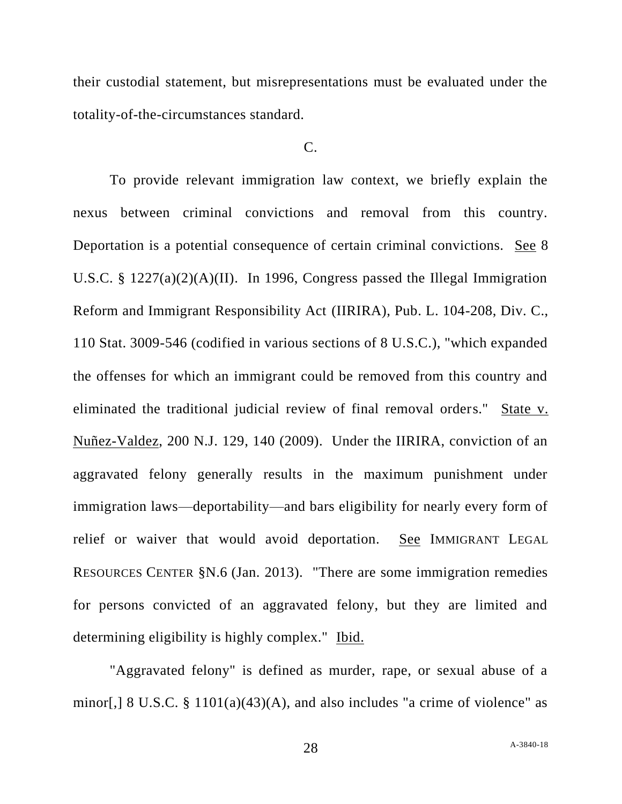their custodial statement, but misrepresentations must be evaluated under the totality-of-the-circumstances standard.

#### $C_{\cdot}$

To provide relevant immigration law context, we briefly explain the nexus between criminal convictions and removal from this country. Deportation is a potential consequence of certain criminal convictions. See 8 U.S.C. § 1227(a)(2)(A)(II). In 1996, Congress passed the Illegal Immigration Reform and Immigrant Responsibility Act (IIRIRA), Pub. L. 104-208, Div. C., 110 Stat. 3009-546 (codified in various sections of 8 U.S.C.), "which expanded the offenses for which an immigrant could be removed from this country and eliminated the traditional judicial review of final removal orders." State v. Nuñez-Valdez, 200 N.J. 129, 140 (2009). Under the IIRIRA, conviction of an aggravated felony generally results in the maximum punishment under immigration laws—deportability—and bars eligibility for nearly every form of relief or waiver that would avoid deportation. See IMMIGRANT LEGAL RESOURCES CENTER §N.6 (Jan. 2013). "There are some immigration remedies for persons convicted of an aggravated felony, but they are limited and determining eligibility is highly complex." Ibid.

"Aggravated felony" is defined as murder, rape, or sexual abuse of a minor[,]  $8 \text{ U.S.C. }$   $\frac{8}{9}$  1101(a)(43)(A), and also includes "a crime of violence" as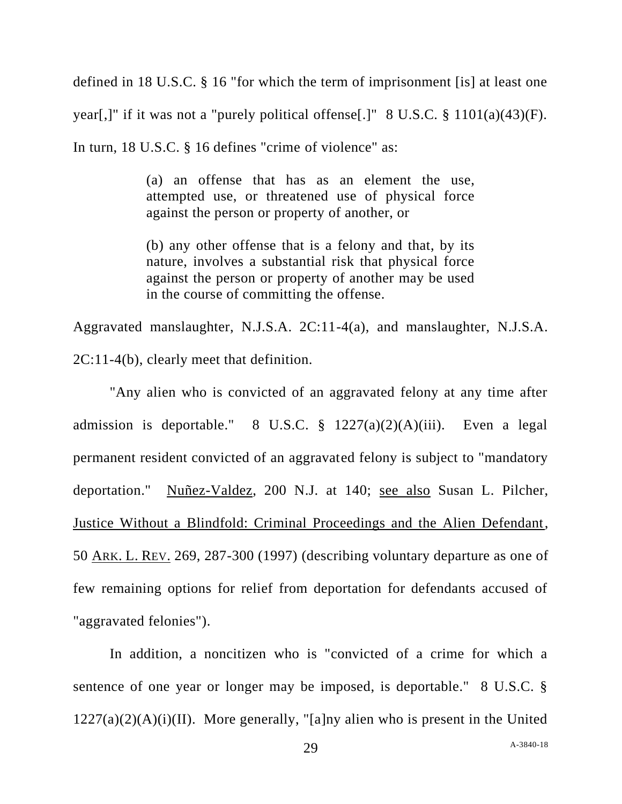defined in 18 U.S.C. § 16 "for which the term of imprisonment [is] at least one year[,]" if it was not a "purely political offense[.]" 8 U.S.C. § 1101(a)(43)(F). In turn, 18 U.S.C. § 16 defines "crime of violence" as:

> (a) an offense that has as an element the use, attempted use, or threatened use of physical force against the person or property of another, or

(b) any other offense that is a felony and that, by its nature, involves a substantial risk that physical force against the person or property of another may be used in the course of committing the offense.

Aggravated manslaughter, N.J.S.A. 2C:11-4(a), and manslaughter, N.J.S.A. 2C:11-4(b), clearly meet that definition.

"Any alien who is convicted of an aggravated felony at any time after admission is deportable." 8 U.S.C. § 1227(a)(2)(A)(iii). Even a legal permanent resident convicted of an aggravated felony is subject to "mandatory deportation." Nuñez-Valdez, 200 N.J. at 140; see also Susan L. Pilcher, Justice Without a Blindfold: Criminal Proceedings and the Alien Defendant, 50 ARK. L. REV. 269, 287-300 (1997) (describing voluntary departure as one of few remaining options for relief from deportation for defendants accused of "aggravated felonies").

In addition, a noncitizen who is "convicted of a crime for which a sentence of one year or longer may be imposed, is deportable." 8 U.S.C. §  $1227(a)(2)(A)(i)(II)$ . More generally, "[a]ny alien who is present in the United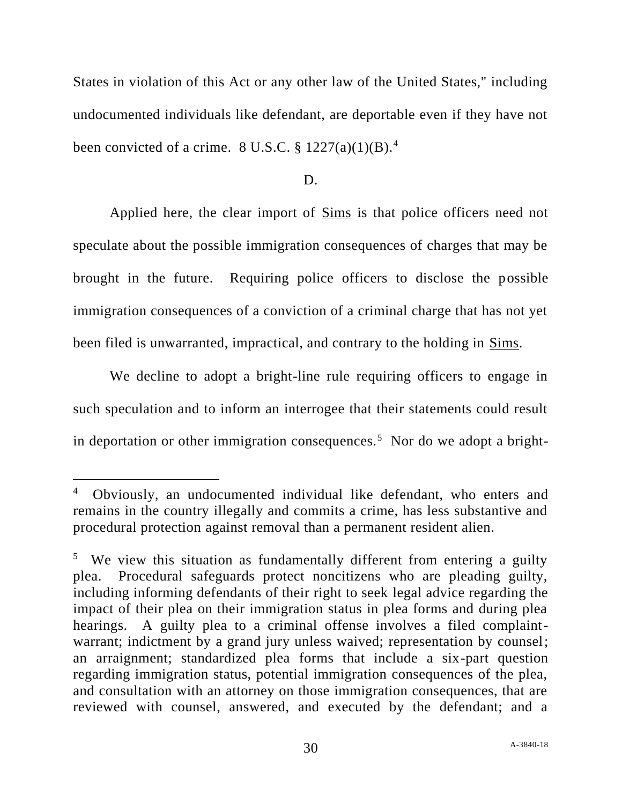States in violation of this Act or any other law of the United States," including undocumented individuals like defendant, are deportable even if they have not been convicted of a crime. 8 U.S.C.  $\S 1227(a)(1)(B)$ .<sup>4</sup>

#### D.

Applied here, the clear import of Sims is that police officers need not speculate about the possible immigration consequences of charges that may be brought in the future. Requiring police officers to disclose the possible immigration consequences of a conviction of a criminal charge that has not yet been filed is unwarranted, impractical, and contrary to the holding in Sims.

We decline to adopt a bright-line rule requiring officers to engage in such speculation and to inform an interrogee that their statements could result in deportation or other immigration consequences.<sup>5</sup> Nor do we adopt a bright-

<sup>4</sup> Obviously, an undocumented individual like defendant, who enters and remains in the country illegally and commits a crime, has less substantive and procedural protection against removal than a permanent resident alien.

<sup>&</sup>lt;sup>5</sup> We view this situation as fundamentally different from entering a guilty plea. Procedural safeguards protect noncitizens who are pleading guilty, including informing defendants of their right to seek legal advice regarding the impact of their plea on their immigration status in plea forms and during plea hearings. A guilty plea to a criminal offense involves a filed complaintwarrant; indictment by a grand jury unless waived; representation by counsel; an arraignment; standardized plea forms that include a six-part question regarding immigration status, potential immigration consequences of the plea, and consultation with an attorney on those immigration consequences, that are reviewed with counsel, answered, and executed by the defendant; and a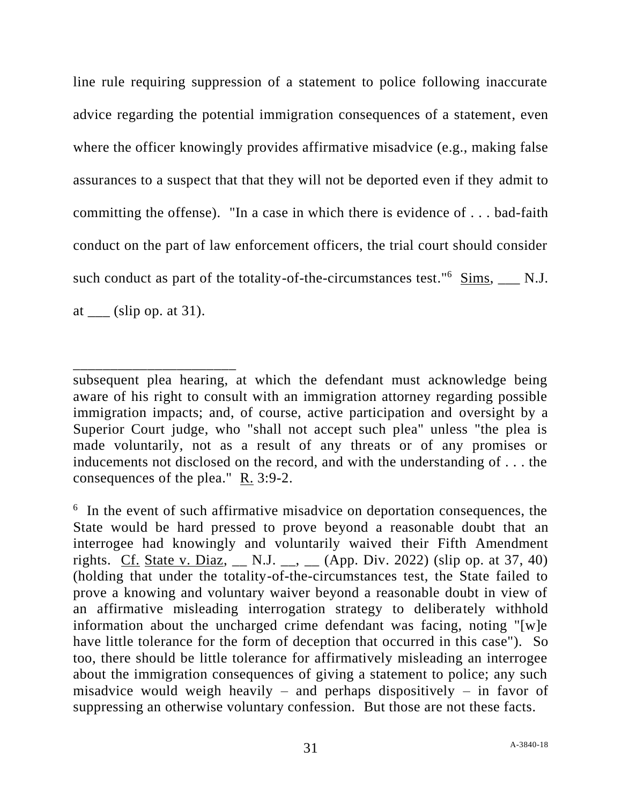line rule requiring suppression of a statement to police following inaccurate advice regarding the potential immigration consequences of a statement, even where the officer knowingly provides affirmative misadvice (e.g., making false assurances to a suspect that that they will not be deported even if they admit to committing the offense). "In a case in which there is evidence of . . . bad-faith conduct on the part of law enforcement officers, the trial court should consider such conduct as part of the totality-of-the-circumstances test." $6$  Sims, \_\_ N.J. at  $\frac{\text{clip (} \text{op. at 31).}}{$ 

\_\_\_\_\_\_\_\_\_\_\_\_\_\_\_\_\_\_\_\_\_\_

subsequent plea hearing, at which the defendant must acknowledge being aware of his right to consult with an immigration attorney regarding possible immigration impacts; and, of course, active participation and oversight by a Superior Court judge, who "shall not accept such plea" unless "the plea is made voluntarily, not as a result of any threats or of any promises or inducements not disclosed on the record, and with the understanding of . . . the consequences of the plea." R. 3:9-2.

<sup>&</sup>lt;sup>6</sup> In the event of such affirmative misadvice on deportation consequences, the State would be hard pressed to prove beyond a reasonable doubt that an interrogee had knowingly and voluntarily waived their Fifth Amendment rights. Cf. State v. Diaz,  $\Box$  N.J.  $\Box$ ,  $\Box$  (App. Div. 2022) (slip op. at 37, 40) (holding that under the totality-of-the-circumstances test, the State failed to prove a knowing and voluntary waiver beyond a reasonable doubt in view of an affirmative misleading interrogation strategy to deliberately withhold information about the uncharged crime defendant was facing, noting "[w]e have little tolerance for the form of deception that occurred in this case"). So too, there should be little tolerance for affirmatively misleading an interrogee about the immigration consequences of giving a statement to police; any such misadvice would weigh heavily – and perhaps dispositively – in favor of suppressing an otherwise voluntary confession. But those are not these facts.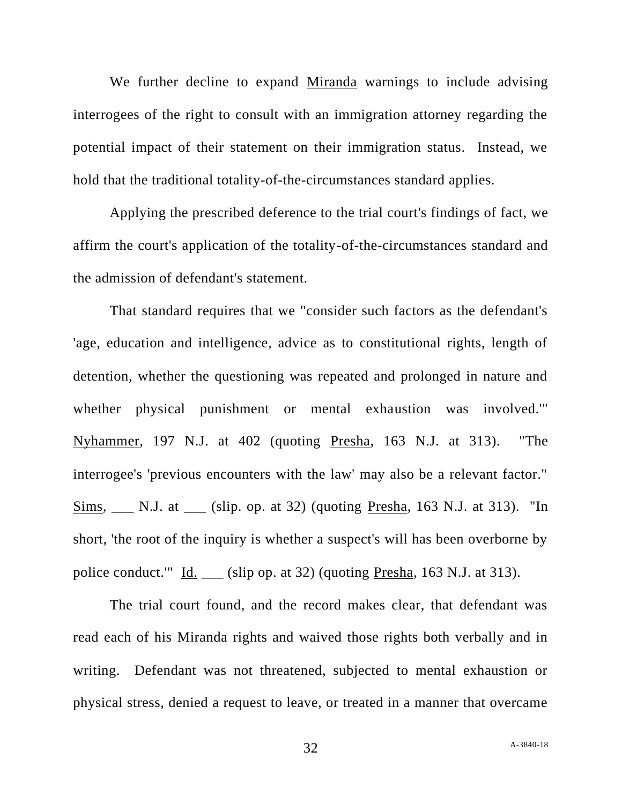We further decline to expand Miranda warnings to include advising interrogees of the right to consult with an immigration attorney regarding the potential impact of their statement on their immigration status. Instead, we hold that the traditional totality-of-the-circumstances standard applies.

Applying the prescribed deference to the trial court's findings of fact, we affirm the court's application of the totality-of-the-circumstances standard and the admission of defendant's statement.

That standard requires that we "consider such factors as the defendant's 'age, education and intelligence, advice as to constitutional rights, length of detention, whether the questioning was repeated and prolonged in nature and whether physical punishment or mental exhaustion was involved.'" Nyhammer, 197 N.J. at 402 (quoting Presha, 163 N.J. at 313). "The interrogee's 'previous encounters with the law' may also be a relevant factor." Sims, \_\_\_ N.J. at \_\_\_ (slip. op. at 32) (quoting Presha, 163 N.J. at 313). "In short, 'the root of the inquiry is whether a suspect's will has been overborne by police conduct."  $\underline{Id}$ . \_\_ (slip op. at 32) (quoting Presha, 163 N.J. at 313).

The trial court found, and the record makes clear, that defendant was read each of his Miranda rights and waived those rights both verbally and in writing. Defendant was not threatened, subjected to mental exhaustion or physical stress, denied a request to leave, or treated in a manner that overcame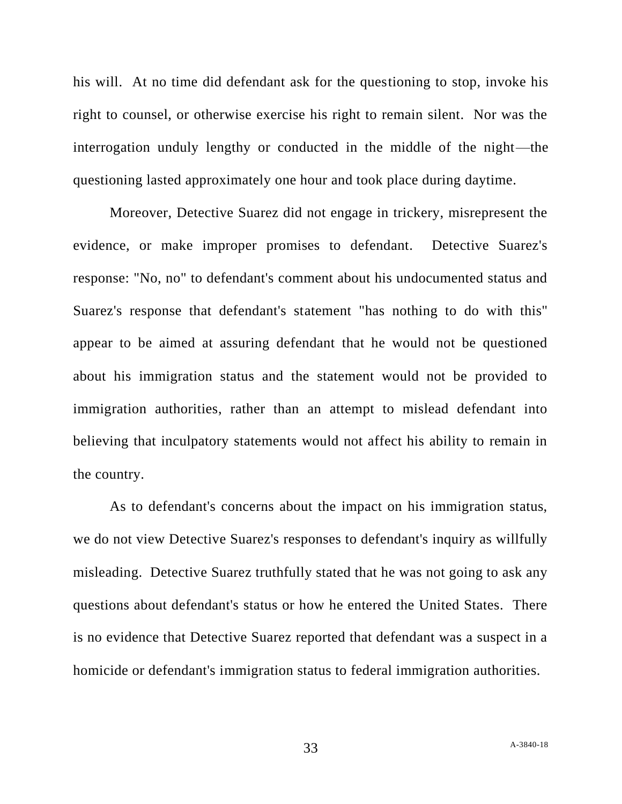his will. At no time did defendant ask for the questioning to stop, invoke his right to counsel, or otherwise exercise his right to remain silent. Nor was the interrogation unduly lengthy or conducted in the middle of the night—the questioning lasted approximately one hour and took place during daytime.

Moreover, Detective Suarez did not engage in trickery, misrepresent the evidence, or make improper promises to defendant. Detective Suarez's response: "No, no" to defendant's comment about his undocumented status and Suarez's response that defendant's statement "has nothing to do with this" appear to be aimed at assuring defendant that he would not be questioned about his immigration status and the statement would not be provided to immigration authorities, rather than an attempt to mislead defendant into believing that inculpatory statements would not affect his ability to remain in the country.

As to defendant's concerns about the impact on his immigration status, we do not view Detective Suarez's responses to defendant's inquiry as willfully misleading. Detective Suarez truthfully stated that he was not going to ask any questions about defendant's status or how he entered the United States. There is no evidence that Detective Suarez reported that defendant was a suspect in a homicide or defendant's immigration status to federal immigration authorities.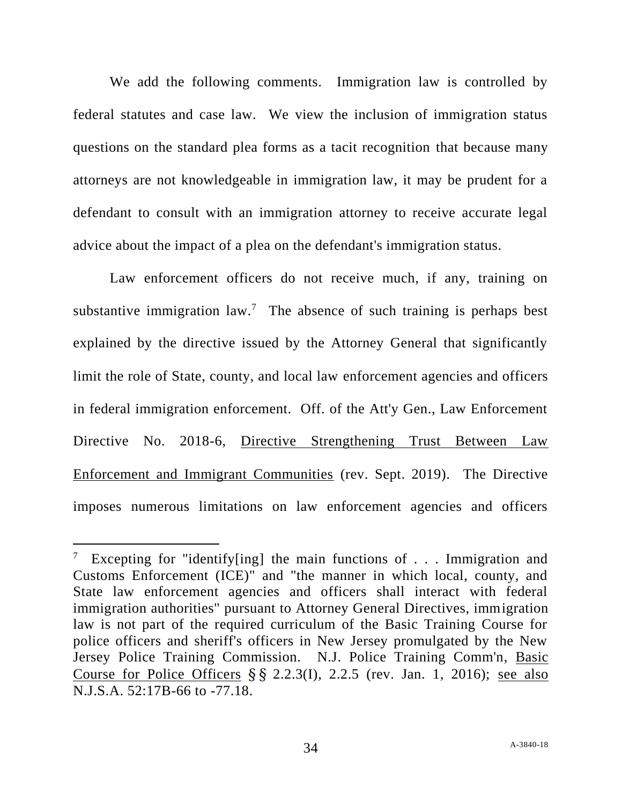We add the following comments. Immigration law is controlled by federal statutes and case law. We view the inclusion of immigration status questions on the standard plea forms as a tacit recognition that because many attorneys are not knowledgeable in immigration law, it may be prudent for a defendant to consult with an immigration attorney to receive accurate legal advice about the impact of a plea on the defendant's immigration status.

Law enforcement officers do not receive much, if any, training on substantive immigration  $law$ .<sup>7</sup> The absence of such training is perhaps best explained by the directive issued by the Attorney General that significantly limit the role of State, county, and local law enforcement agencies and officers in federal immigration enforcement. Off. of the Att'y Gen., Law Enforcement Directive No. 2018-6, Directive Strengthening Trust Between Law Enforcement and Immigrant Communities (rev. Sept. 2019). The Directive imposes numerous limitations on law enforcement agencies and officers

<sup>&</sup>lt;sup>7</sup> Excepting for "identify[ing] the main functions of  $\ldots$  Immigration and Customs Enforcement (ICE)" and "the manner in which local, county, and State law enforcement agencies and officers shall interact with federal immigration authorities" pursuant to Attorney General Directives, immigration law is not part of the required curriculum of the Basic Training Course for police officers and sheriff's officers in New Jersey promulgated by the New Jersey Police Training Commission. N.J. Police Training Comm'n, Basic Course for Police Officers  $\S$   $\S$   $2.2.3(I)$ ,  $2.2.5$  (rev. Jan. 1, 2016); see also N.J.S.A. 52:17B-66 to -77.18.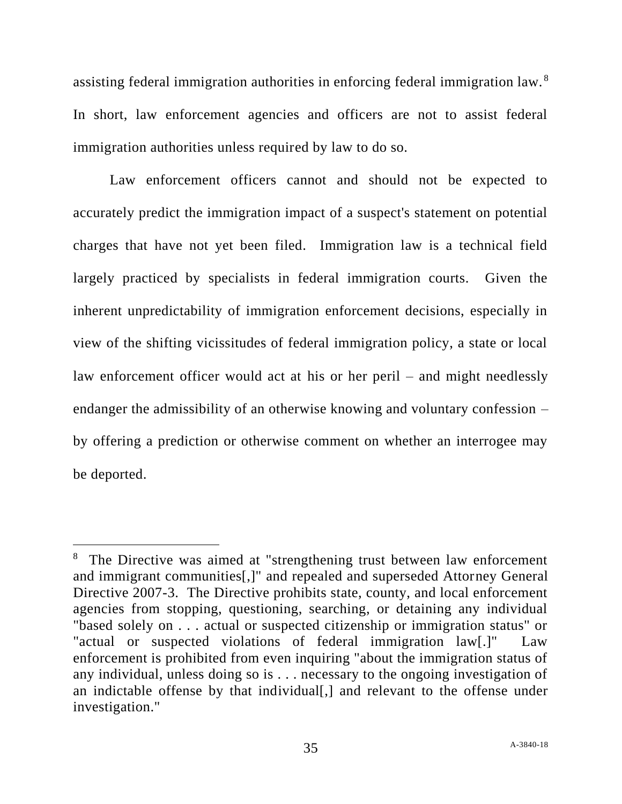assisting federal immigration authorities in enforcing federal immigration law.<sup>8</sup> In short, law enforcement agencies and officers are not to assist federal immigration authorities unless required by law to do so.

Law enforcement officers cannot and should not be expected to accurately predict the immigration impact of a suspect's statement on potential charges that have not yet been filed. Immigration law is a technical field largely practiced by specialists in federal immigration courts. Given the inherent unpredictability of immigration enforcement decisions, especially in view of the shifting vicissitudes of federal immigration policy, a state or local law enforcement officer would act at his or her peril – and might needlessly endanger the admissibility of an otherwise knowing and voluntary confession – by offering a prediction or otherwise comment on whether an interrogee may be deported.

<sup>&</sup>lt;sup>8</sup> The Directive was aimed at "strengthening trust between law enforcement and immigrant communities[,]" and repealed and superseded Attorney General Directive 2007-3. The Directive prohibits state, county, and local enforcement agencies from stopping, questioning, searching, or detaining any individual "based solely on . . . actual or suspected citizenship or immigration status" or "actual or suspected violations of federal immigration law[.]" Law enforcement is prohibited from even inquiring "about the immigration status of any individual, unless doing so is . . . necessary to the ongoing investigation of an indictable offense by that individual[,] and relevant to the offense under investigation."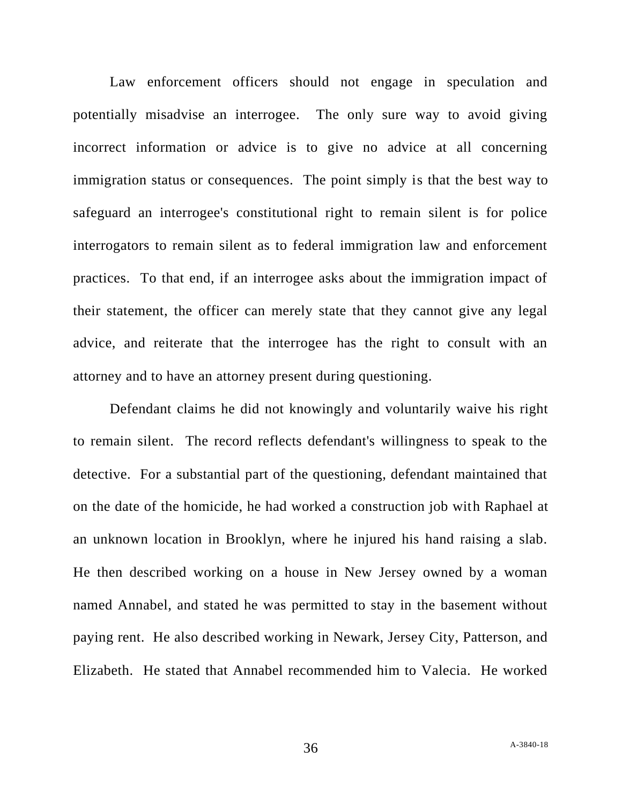Law enforcement officers should not engage in speculation and potentially misadvise an interrogee. The only sure way to avoid giving incorrect information or advice is to give no advice at all concerning immigration status or consequences. The point simply is that the best way to safeguard an interrogee's constitutional right to remain silent is for police interrogators to remain silent as to federal immigration law and enforcement practices. To that end, if an interrogee asks about the immigration impact of their statement, the officer can merely state that they cannot give any legal advice, and reiterate that the interrogee has the right to consult with an attorney and to have an attorney present during questioning.

Defendant claims he did not knowingly and voluntarily waive his right to remain silent. The record reflects defendant's willingness to speak to the detective. For a substantial part of the questioning, defendant maintained that on the date of the homicide, he had worked a construction job with Raphael at an unknown location in Brooklyn, where he injured his hand raising a slab. He then described working on a house in New Jersey owned by a woman named Annabel, and stated he was permitted to stay in the basement without paying rent. He also described working in Newark, Jersey City, Patterson, and Elizabeth. He stated that Annabel recommended him to Valecia. He worked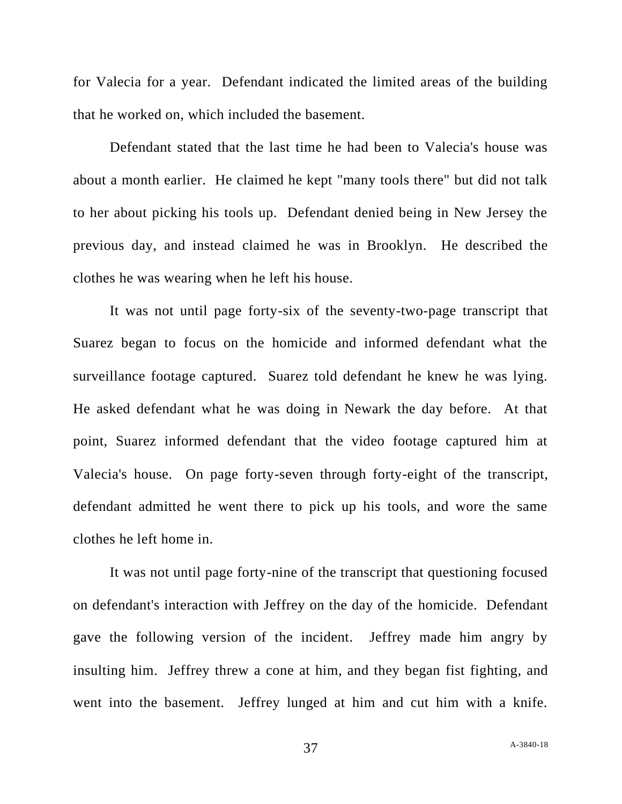for Valecia for a year. Defendant indicated the limited areas of the building that he worked on, which included the basement.

Defendant stated that the last time he had been to Valecia's house was about a month earlier. He claimed he kept "many tools there" but did not talk to her about picking his tools up. Defendant denied being in New Jersey the previous day, and instead claimed he was in Brooklyn. He described the clothes he was wearing when he left his house.

It was not until page forty-six of the seventy-two-page transcript that Suarez began to focus on the homicide and informed defendant what the surveillance footage captured. Suarez told defendant he knew he was lying. He asked defendant what he was doing in Newark the day before. At that point, Suarez informed defendant that the video footage captured him at Valecia's house. On page forty-seven through forty-eight of the transcript, defendant admitted he went there to pick up his tools, and wore the same clothes he left home in.

It was not until page forty-nine of the transcript that questioning focused on defendant's interaction with Jeffrey on the day of the homicide. Defendant gave the following version of the incident. Jeffrey made him angry by insulting him. Jeffrey threw a cone at him, and they began fist fighting, and went into the basement. Jeffrey lunged at him and cut him with a knife.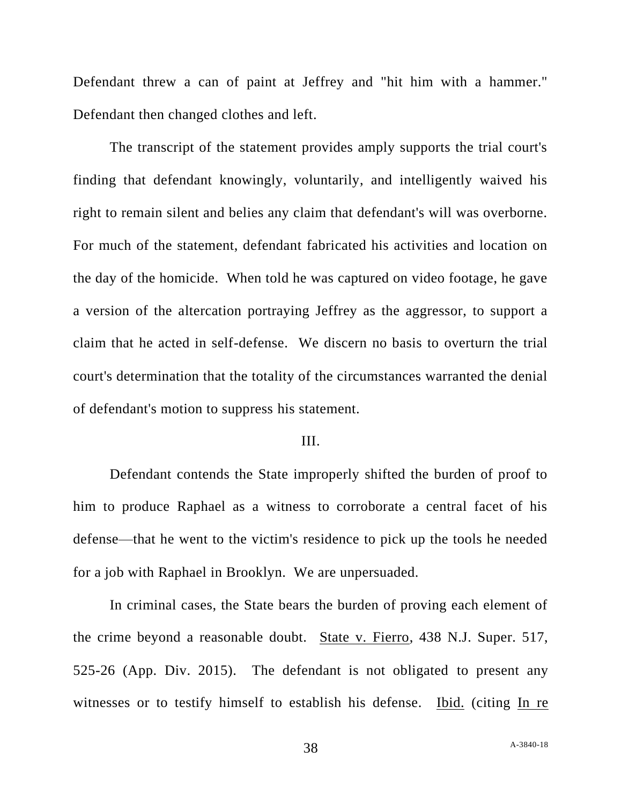Defendant threw a can of paint at Jeffrey and "hit him with a hammer." Defendant then changed clothes and left.

The transcript of the statement provides amply supports the trial court's finding that defendant knowingly, voluntarily, and intelligently waived his right to remain silent and belies any claim that defendant's will was overborne. For much of the statement, defendant fabricated his activities and location on the day of the homicide. When told he was captured on video footage, he gave a version of the altercation portraying Jeffrey as the aggressor, to support a claim that he acted in self-defense. We discern no basis to overturn the trial court's determination that the totality of the circumstances warranted the denial of defendant's motion to suppress his statement.

### III.

Defendant contends the State improperly shifted the burden of proof to him to produce Raphael as a witness to corroborate a central facet of his defense—that he went to the victim's residence to pick up the tools he needed for a job with Raphael in Brooklyn. We are unpersuaded.

In criminal cases, the State bears the burden of proving each element of the crime beyond a reasonable doubt. State v. Fierro, 438 N.J. Super. 517, 525-26 (App. Div. 2015). The defendant is not obligated to present any witnesses or to testify himself to establish his defense. Ibid. (citing In re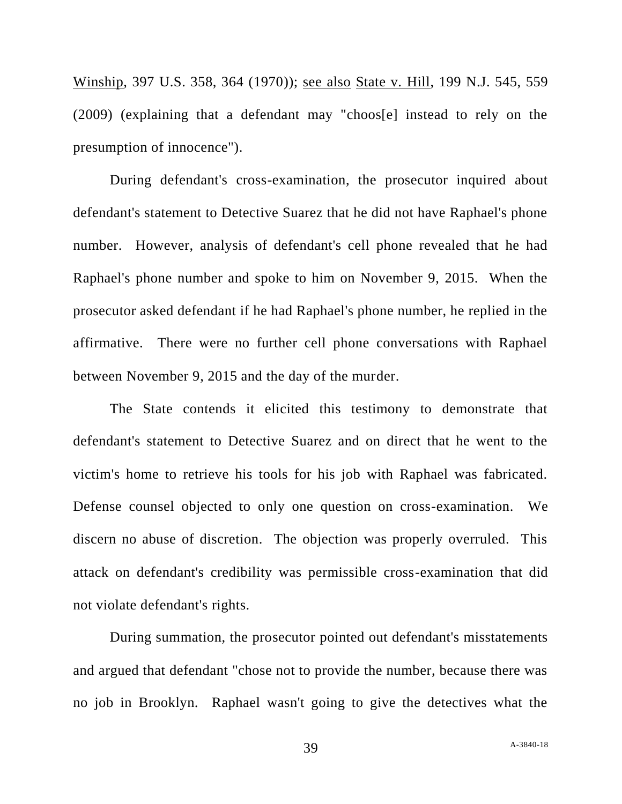Winship, 397 U.S. 358, 364 (1970)); see also State v. Hill, 199 N.J. 545, 559 (2009) (explaining that a defendant may "choos[e] instead to rely on the presumption of innocence").

During defendant's cross-examination, the prosecutor inquired about defendant's statement to Detective Suarez that he did not have Raphael's phone number. However, analysis of defendant's cell phone revealed that he had Raphael's phone number and spoke to him on November 9, 2015. When the prosecutor asked defendant if he had Raphael's phone number, he replied in the affirmative. There were no further cell phone conversations with Raphael between November 9, 2015 and the day of the murder.

The State contends it elicited this testimony to demonstrate that defendant's statement to Detective Suarez and on direct that he went to the victim's home to retrieve his tools for his job with Raphael was fabricated. Defense counsel objected to only one question on cross-examination. We discern no abuse of discretion. The objection was properly overruled. This attack on defendant's credibility was permissible cross-examination that did not violate defendant's rights.

During summation, the prosecutor pointed out defendant's misstatements and argued that defendant "chose not to provide the number, because there was no job in Brooklyn. Raphael wasn't going to give the detectives what the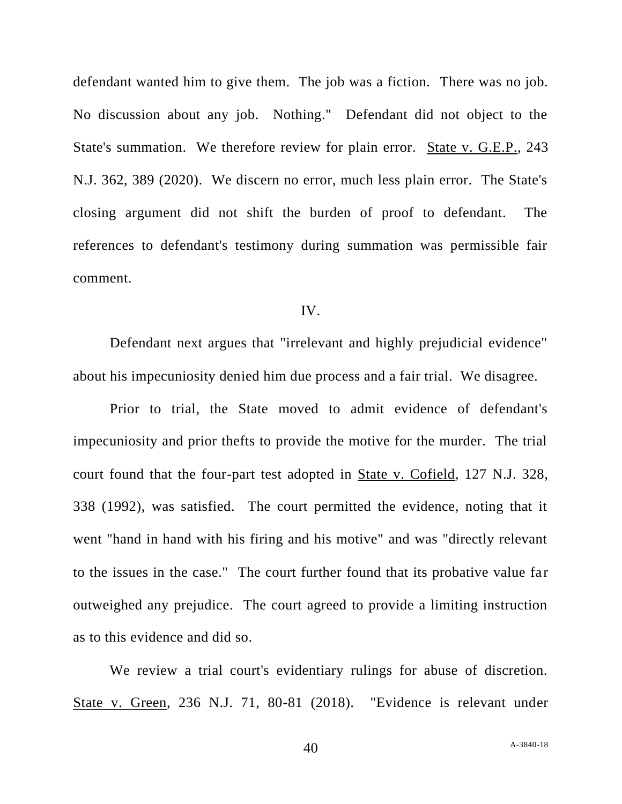defendant wanted him to give them. The job was a fiction. There was no job. No discussion about any job. Nothing." Defendant did not object to the State's summation. We therefore review for plain error. State v. G.E.P., 243 N.J. 362, 389 (2020). We discern no error, much less plain error. The State's closing argument did not shift the burden of proof to defendant. The references to defendant's testimony during summation was permissible fair comment.

### IV.

Defendant next argues that "irrelevant and highly prejudicial evidence" about his impecuniosity denied him due process and a fair trial. We disagree.

Prior to trial, the State moved to admit evidence of defendant's impecuniosity and prior thefts to provide the motive for the murder. The trial court found that the four-part test adopted in State v. Cofield, 127 N.J. 328, 338 (1992), was satisfied. The court permitted the evidence, noting that it went "hand in hand with his firing and his motive" and was "directly relevant to the issues in the case." The court further found that its probative value far outweighed any prejudice. The court agreed to provide a limiting instruction as to this evidence and did so.

We review a trial court's evidentiary rulings for abuse of discretion. State v. Green, 236 N.J. 71, 80-81 (2018). "Evidence is relevant under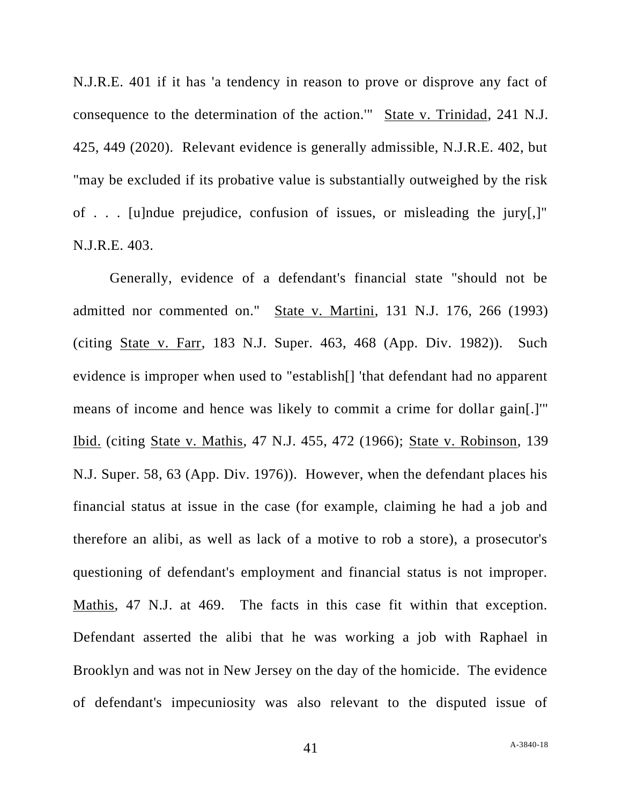N.J.R.E. 401 if it has 'a tendency in reason to prove or disprove any fact of consequence to the determination of the action.'" State v. Trinidad, 241 N.J. 425, 449 (2020). Relevant evidence is generally admissible, N.J.R.E. 402, but "may be excluded if its probative value is substantially outweighed by the risk of . . . [u]ndue prejudice, confusion of issues, or misleading the jury[,]" N.J.R.E. 403.

Generally, evidence of a defendant's financial state "should not be admitted nor commented on." State v. Martini, 131 N.J. 176, 266 (1993) (citing State v. Farr, 183 N.J. Super. 463, 468 (App. Div. 1982)). Such evidence is improper when used to "establish[] 'that defendant had no apparent means of income and hence was likely to commit a crime for dollar gain[.]'" Ibid. (citing State v. Mathis, 47 N.J. 455, 472 (1966); State v. Robinson, 139 N.J. Super. 58, 63 (App. Div. 1976)). However, when the defendant places his financial status at issue in the case (for example, claiming he had a job and therefore an alibi, as well as lack of a motive to rob a store), a prosecutor's questioning of defendant's employment and financial status is not improper. Mathis, 47 N.J. at 469. The facts in this case fit within that exception. Defendant asserted the alibi that he was working a job with Raphael in Brooklyn and was not in New Jersey on the day of the homicide. The evidence of defendant's impecuniosity was also relevant to the disputed issue of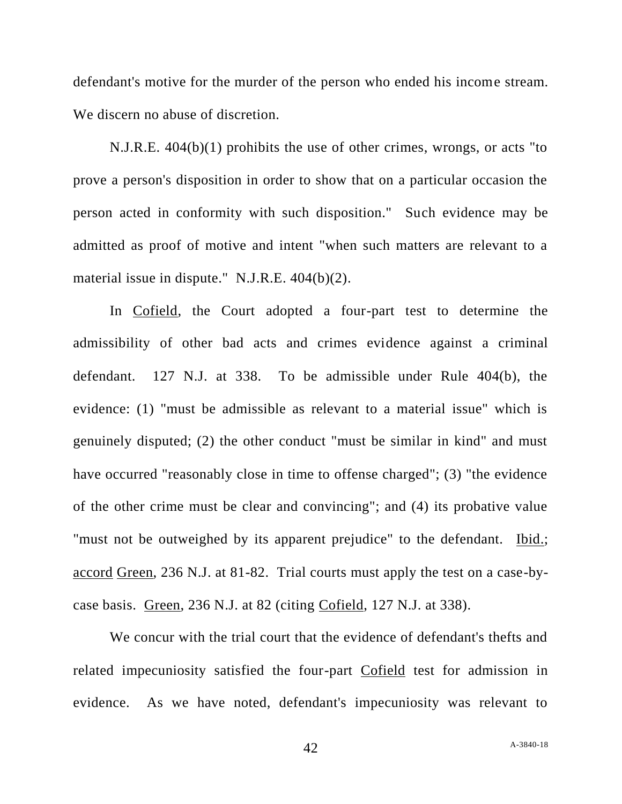defendant's motive for the murder of the person who ended his income stream. We discern no abuse of discretion.

N.J.R.E. 404(b)(1) prohibits the use of other crimes, wrongs, or acts "to prove a person's disposition in order to show that on a particular occasion the person acted in conformity with such disposition." Such evidence may be admitted as proof of motive and intent "when such matters are relevant to a material issue in dispute." N.J.R.E. 404(b)(2).

In Cofield, the Court adopted a four-part test to determine the admissibility of other bad acts and crimes evidence against a criminal defendant. 127 N.J. at 338. To be admissible under Rule 404(b), the evidence: (1) "must be admissible as relevant to a material issue" which is genuinely disputed; (2) the other conduct "must be similar in kind" and must have occurred "reasonably close in time to offense charged"; (3) "the evidence of the other crime must be clear and convincing"; and (4) its probative value "must not be outweighed by its apparent prejudice" to the defendant. Ibid.; accord Green, 236 N.J. at 81-82. Trial courts must apply the test on a case-bycase basis. Green, 236 N.J. at 82 (citing Cofield, 127 N.J. at 338).

We concur with the trial court that the evidence of defendant's thefts and related impecuniosity satisfied the four-part Cofield test for admission in evidence. As we have noted, defendant's impecuniosity was relevant to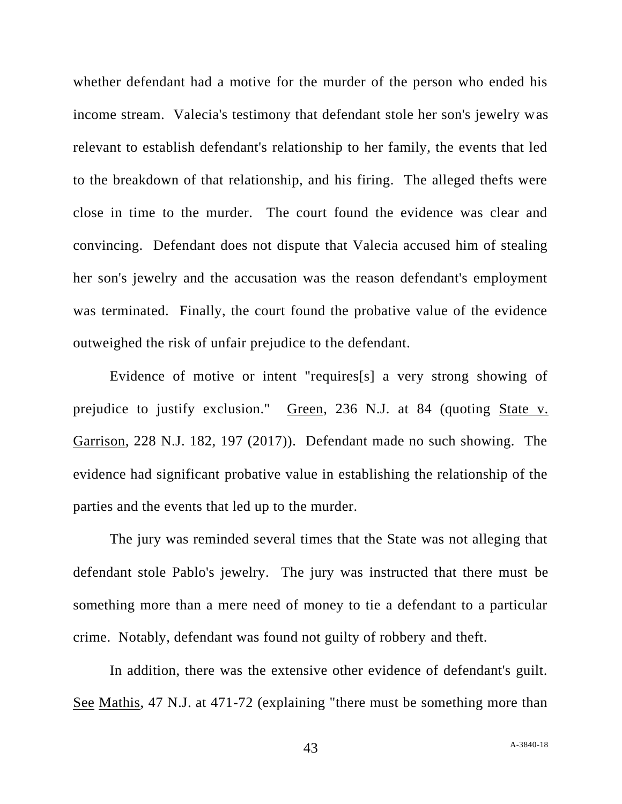whether defendant had a motive for the murder of the person who ended his income stream. Valecia's testimony that defendant stole her son's jewelry was relevant to establish defendant's relationship to her family, the events that led to the breakdown of that relationship, and his firing. The alleged thefts were close in time to the murder. The court found the evidence was clear and convincing. Defendant does not dispute that Valecia accused him of stealing her son's jewelry and the accusation was the reason defendant's employment was terminated. Finally, the court found the probative value of the evidence outweighed the risk of unfair prejudice to the defendant.

Evidence of motive or intent "requires[s] a very strong showing of prejudice to justify exclusion." Green, 236 N.J. at 84 (quoting State v. Garrison, 228 N.J. 182, 197 (2017)). Defendant made no such showing. The evidence had significant probative value in establishing the relationship of the parties and the events that led up to the murder.

The jury was reminded several times that the State was not alleging that defendant stole Pablo's jewelry. The jury was instructed that there must be something more than a mere need of money to tie a defendant to a particular crime. Notably, defendant was found not guilty of robbery and theft.

In addition, there was the extensive other evidence of defendant's guilt. See Mathis, 47 N.J. at 471-72 (explaining "there must be something more than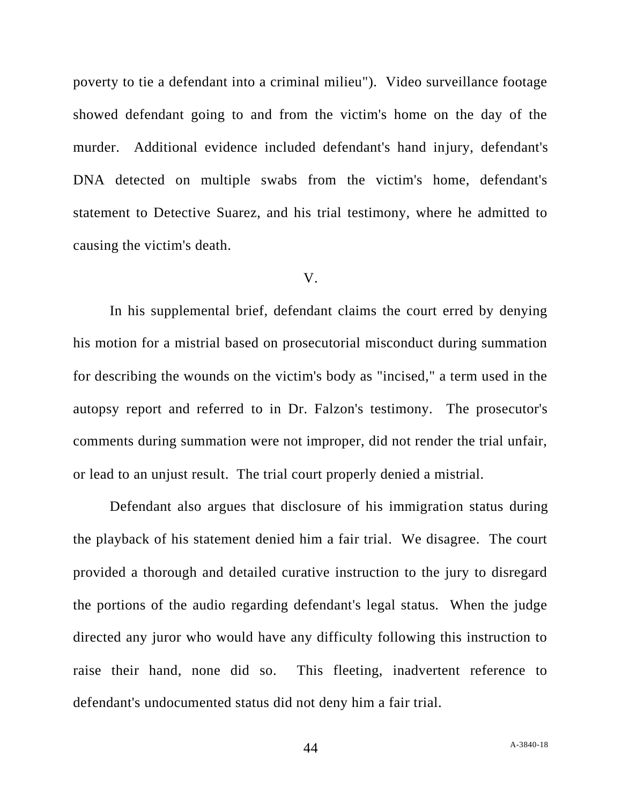poverty to tie a defendant into a criminal milieu"). Video surveillance footage showed defendant going to and from the victim's home on the day of the murder. Additional evidence included defendant's hand injury, defendant's DNA detected on multiple swabs from the victim's home, defendant's statement to Detective Suarez, and his trial testimony, where he admitted to causing the victim's death.

#### V.

In his supplemental brief, defendant claims the court erred by denying his motion for a mistrial based on prosecutorial misconduct during summation for describing the wounds on the victim's body as "incised," a term used in the autopsy report and referred to in Dr. Falzon's testimony. The prosecutor's comments during summation were not improper, did not render the trial unfair, or lead to an unjust result. The trial court properly denied a mistrial.

Defendant also argues that disclosure of his immigration status during the playback of his statement denied him a fair trial. We disagree. The court provided a thorough and detailed curative instruction to the jury to disregard the portions of the audio regarding defendant's legal status. When the judge directed any juror who would have any difficulty following this instruction to raise their hand, none did so. This fleeting, inadvertent reference to defendant's undocumented status did not deny him a fair trial.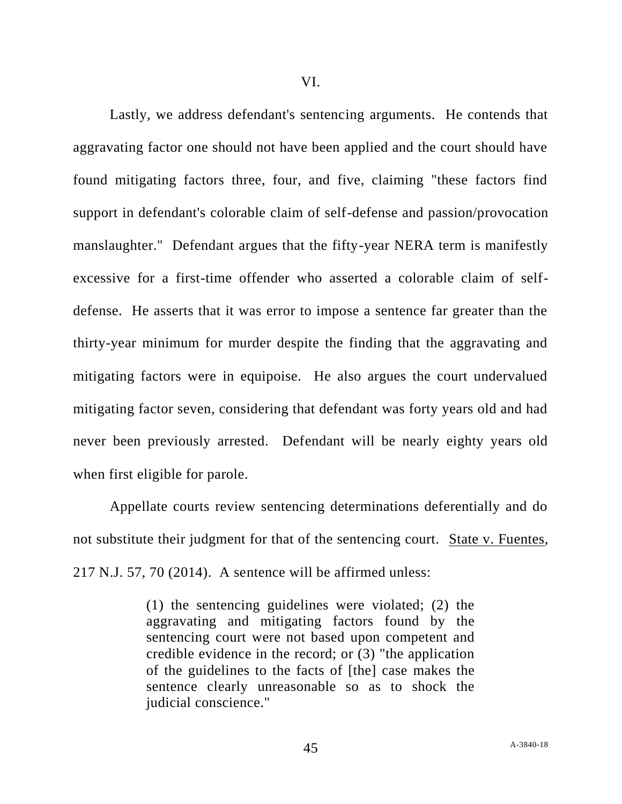Lastly, we address defendant's sentencing arguments. He contends that aggravating factor one should not have been applied and the court should have found mitigating factors three, four, and five, claiming "these factors find support in defendant's colorable claim of self-defense and passion/provocation manslaughter." Defendant argues that the fifty-year NERA term is manifestly excessive for a first-time offender who asserted a colorable claim of selfdefense. He asserts that it was error to impose a sentence far greater than the thirty-year minimum for murder despite the finding that the aggravating and mitigating factors were in equipoise. He also argues the court undervalued mitigating factor seven, considering that defendant was forty years old and had never been previously arrested. Defendant will be nearly eighty years old when first eligible for parole.

Appellate courts review sentencing determinations deferentially and do not substitute their judgment for that of the sentencing court. State v. Fuentes, 217 N.J. 57, 70 (2014). A sentence will be affirmed unless:

> (1) the sentencing guidelines were violated; (2) the aggravating and mitigating factors found by the sentencing court were not based upon competent and credible evidence in the record; or (3) "the application of the guidelines to the facts of [the] case makes the sentence clearly unreasonable so as to shock the judicial conscience."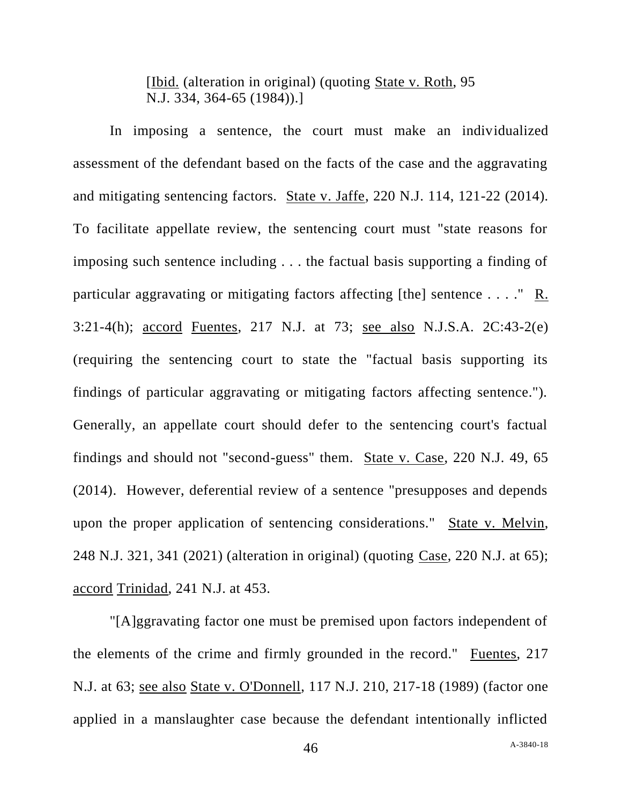[Ibid. (alteration in original) (quoting State v. Roth, 95 N.J. 334, 364-65 (1984)).]

In imposing a sentence, the court must make an individualized assessment of the defendant based on the facts of the case and the aggravating and mitigating sentencing factors. State v. Jaffe, 220 N.J. 114, 121-22 (2014). To facilitate appellate review, the sentencing court must "state reasons for imposing such sentence including . . . the factual basis supporting a finding of particular aggravating or mitigating factors affecting [the] sentence . . . . " R. 3:21-4(h); accord Fuentes, 217 N.J. at 73; see also N.J.S.A. 2C:43-2(e) (requiring the sentencing court to state the "factual basis supporting its findings of particular aggravating or mitigating factors affecting sentence."). Generally, an appellate court should defer to the sentencing court's factual findings and should not "second-guess" them. State v. Case, 220 N.J. 49, 65 (2014). However, deferential review of a sentence "presupposes and depends upon the proper application of sentencing considerations." State v. Melvin, 248 N.J. 321, 341 (2021) (alteration in original) (quoting Case, 220 N.J. at 65); accord Trinidad, 241 N.J. at 453.

"[A]ggravating factor one must be premised upon factors independent of the elements of the crime and firmly grounded in the record." Fuentes, 217 N.J. at 63; see also State v. O'Donnell, 117 N.J. 210, 217-18 (1989) (factor one applied in a manslaughter case because the defendant intentionally inflicted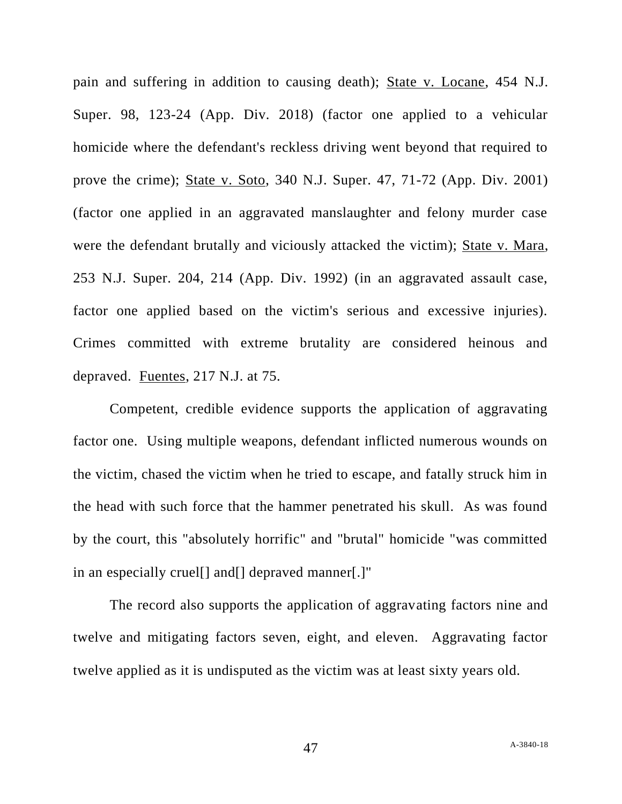pain and suffering in addition to causing death); State v. Locane, 454 N.J. Super. 98, 123-24 (App. Div. 2018) (factor one applied to a vehicular homicide where the defendant's reckless driving went beyond that required to prove the crime); State v. Soto, 340 N.J. Super. 47, 71-72 (App. Div. 2001) (factor one applied in an aggravated manslaughter and felony murder case were the defendant brutally and viciously attacked the victim); State v. Mara, 253 N.J. Super. 204, 214 (App. Div. 1992) (in an aggravated assault case, factor one applied based on the victim's serious and excessive injuries). Crimes committed with extreme brutality are considered heinous and depraved. Fuentes, 217 N.J. at 75.

Competent, credible evidence supports the application of aggravating factor one. Using multiple weapons, defendant inflicted numerous wounds on the victim, chased the victim when he tried to escape, and fatally struck him in the head with such force that the hammer penetrated his skull. As was found by the court, this "absolutely horrific" and "brutal" homicide "was committed in an especially cruel[] and[] depraved manner[.]"

The record also supports the application of aggravating factors nine and twelve and mitigating factors seven, eight, and eleven. Aggravating factor twelve applied as it is undisputed as the victim was at least sixty years old.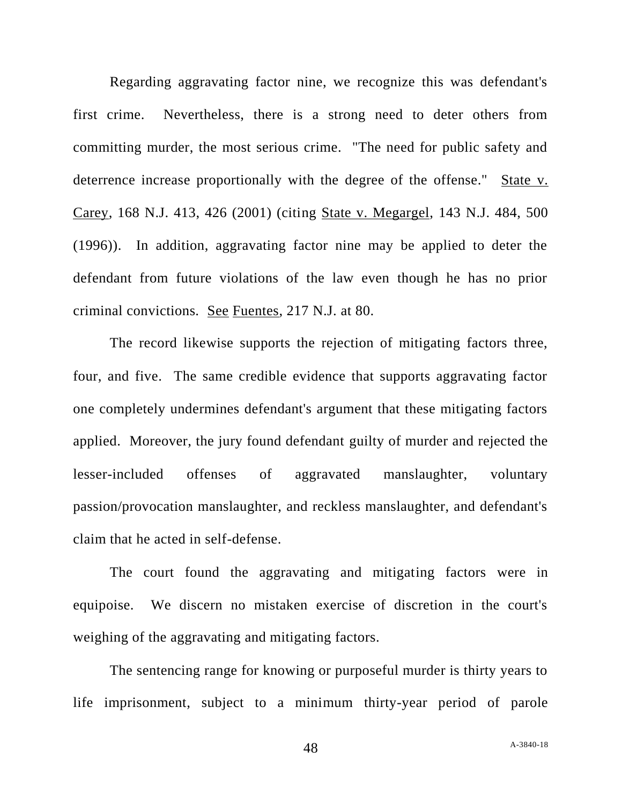Regarding aggravating factor nine, we recognize this was defendant's first crime. Nevertheless, there is a strong need to deter others from committing murder, the most serious crime. "The need for public safety and deterrence increase proportionally with the degree of the offense." State v. Carey, 168 N.J. 413, 426 (2001) (citing State v. Megargel, 143 N.J. 484, 500 (1996)). In addition, aggravating factor nine may be applied to deter the defendant from future violations of the law even though he has no prior criminal convictions. See Fuentes, 217 N.J. at 80.

The record likewise supports the rejection of mitigating factors three, four, and five. The same credible evidence that supports aggravating factor one completely undermines defendant's argument that these mitigating factors applied. Moreover, the jury found defendant guilty of murder and rejected the lesser-included offenses of aggravated manslaughter, voluntary passion/provocation manslaughter, and reckless manslaughter, and defendant's claim that he acted in self-defense.

The court found the aggravating and mitigating factors were in equipoise. We discern no mistaken exercise of discretion in the court's weighing of the aggravating and mitigating factors.

The sentencing range for knowing or purposeful murder is thirty years to life imprisonment, subject to a minimum thirty-year period of parole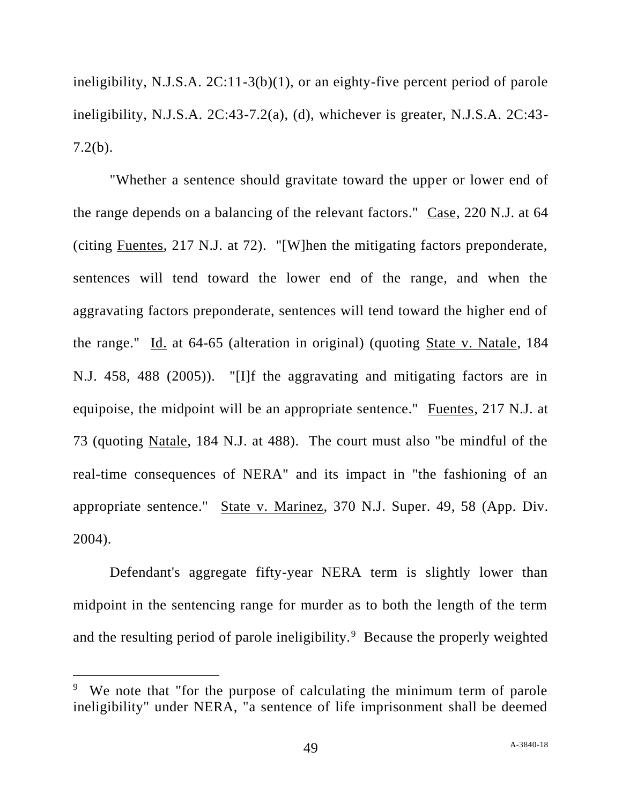ineligibility, N.J.S.A. 2C:11-3(b)(1), or an eighty-five percent period of parole ineligibility, N.J.S.A. 2C:43-7.2(a), (d), whichever is greater, N.J.S.A. 2C:43- 7.2(b).

"Whether a sentence should gravitate toward the upper or lower end of the range depends on a balancing of the relevant factors." Case, 220 N.J. at 64 (citing Fuentes, 217 N.J. at 72). "[W]hen the mitigating factors preponderate, sentences will tend toward the lower end of the range, and when the aggravating factors preponderate, sentences will tend toward the higher end of the range." Id. at 64-65 (alteration in original) (quoting State v. Natale, 184 N.J. 458, 488 (2005)). "[I]f the aggravating and mitigating factors are in equipoise, the midpoint will be an appropriate sentence." Fuentes, 217 N.J. at 73 (quoting Natale, 184 N.J. at 488). The court must also "be mindful of the real-time consequences of NERA" and its impact in "the fashioning of an appropriate sentence." State v. Marinez, 370 N.J. Super. 49, 58 (App. Div. 2004).

Defendant's aggregate fifty-year NERA term is slightly lower than midpoint in the sentencing range for murder as to both the length of the term and the resulting period of parole ineligibility.<sup>9</sup> Because the properly weighted

<sup>&</sup>lt;sup>9</sup> We note that "for the purpose of calculating the minimum term of parole ineligibility" under NERA, "a sentence of life imprisonment shall be deemed